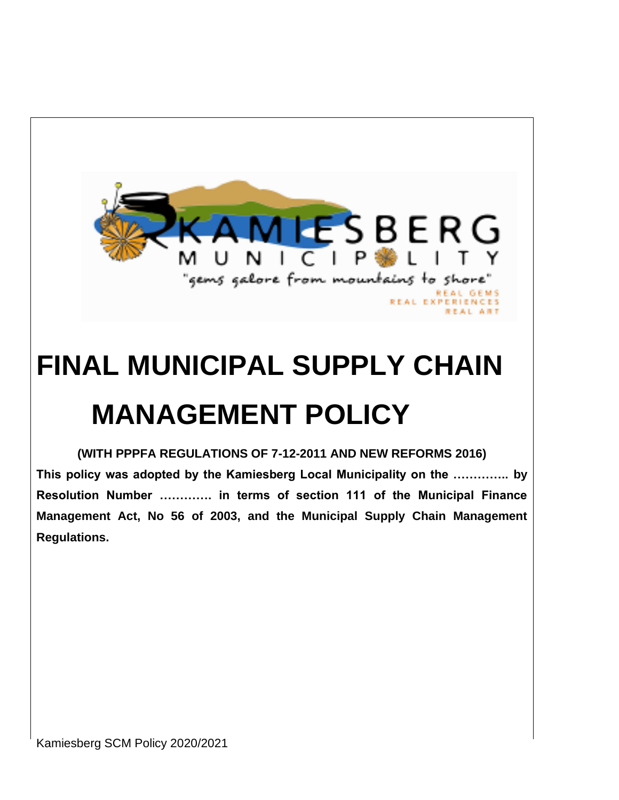

# **FINAL MUNICIPAL SUPPLY CHAIN MANAGEMENT POLICY**

**(WITH PPPFA REGULATIONS OF 7-12-2011 AND NEW REFORMS 2016) This policy was adopted by the Kamiesberg Local Municipality on the ………….. by Resolution Number …………. in terms of section 111 of the Municipal Finance Management Act, No 56 of 2003, and the Municipal Supply Chain Management Regulations.**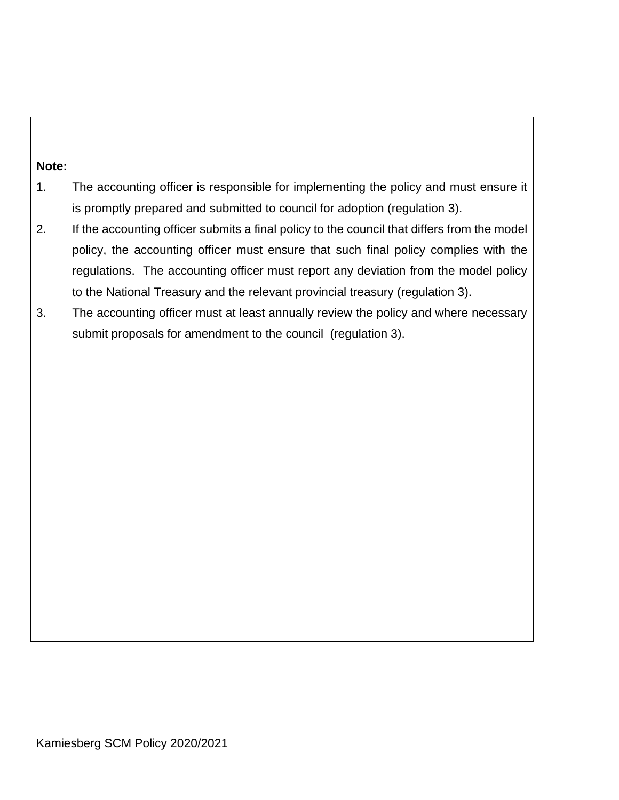#### **Note:**

- 1. The accounting officer is responsible for implementing the policy and must ensure it is promptly prepared and submitted to council for adoption (regulation 3).
- 2. If the accounting officer submits a final policy to the council that differs from the model policy, the accounting officer must ensure that such final policy complies with the regulations. The accounting officer must report any deviation from the model policy to the National Treasury and the relevant provincial treasury (regulation 3).
- 3. The accounting officer must at least annually review the policy and where necessary submit proposals for amendment to the council (regulation 3).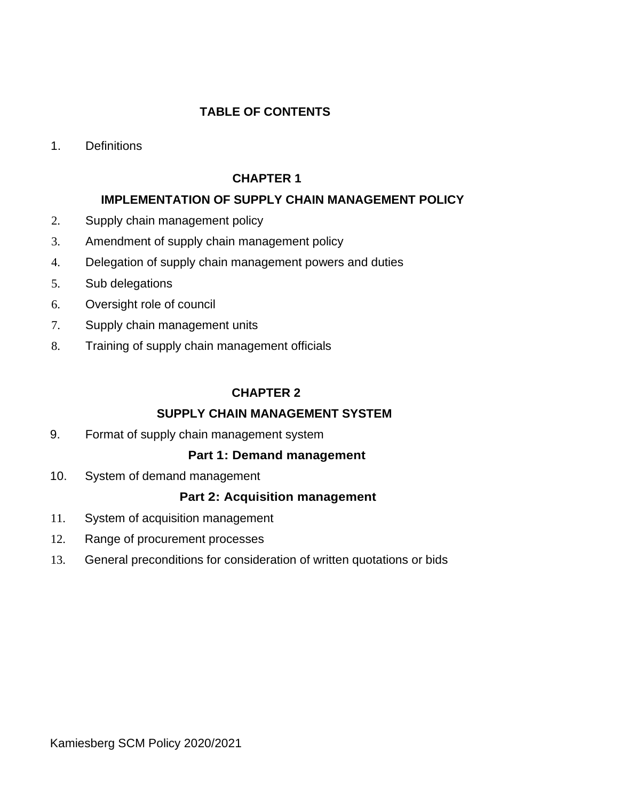# **TABLE OF CONTENTS**

1. Definitions

# **CHAPTER 1**

# **IMPLEMENTATION OF SUPPLY CHAIN MANAGEMENT POLICY**

- 2. Supply chain management policy
- 3. Amendment of supply chain management policy
- 4. Delegation of supply chain management powers and duties
- 5. Sub delegations
- 6. Oversight role of council
- 7. Supply chain management units
- 8. Training of supply chain management officials

# **CHAPTER 2**

#### **SUPPLY CHAIN MANAGEMENT SYSTEM**

9. Format of supply chain management system

# **Part 1: Demand management**

10. System of demand management

#### **Part 2: Acquisition management**

- 11. System of acquisition management
- 12. Range of procurement processes
- 13. General preconditions for consideration of written quotations or bids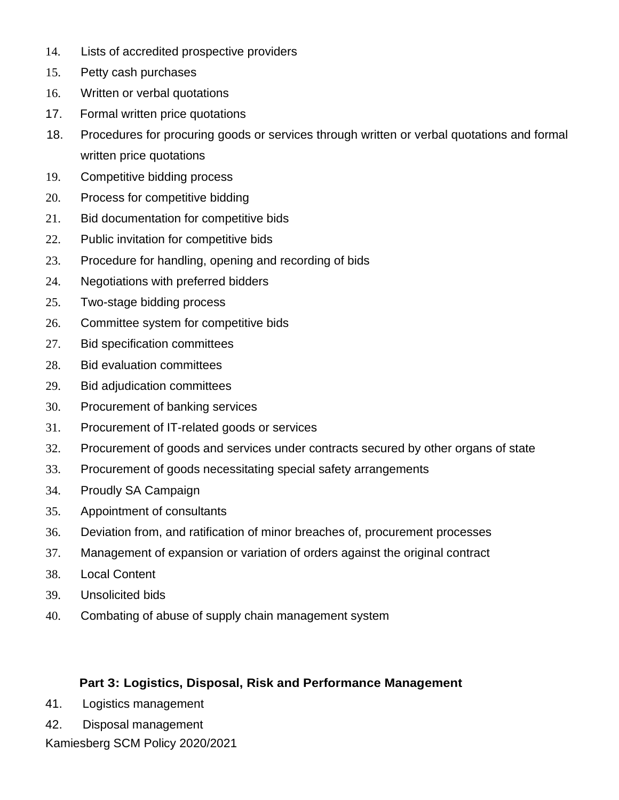- 14. Lists of accredited prospective providers
- 15. Petty cash purchases
- 16. Written or verbal quotations
- 17. Formal written price quotations
- 18. Procedures for procuring goods or services through written or verbal quotations and formal written price quotations
- 19. Competitive bidding process
- 20. Process for competitive bidding
- 21. Bid documentation for competitive bids
- 22. Public invitation for competitive bids
- 23. Procedure for handling, opening and recording of bids
- 24. Negotiations with preferred bidders
- 25. Two-stage bidding process
- 26. Committee system for competitive bids
- 27. Bid specification committees
- 28. Bid evaluation committees
- 29. Bid adjudication committees
- 30. Procurement of banking services
- 31. Procurement of IT-related goods or services
- 32. Procurement of goods and services under contracts secured by other organs of state
- 33. Procurement of goods necessitating special safety arrangements
- 34. Proudly SA Campaign
- 35. Appointment of consultants
- 36. Deviation from, and ratification of minor breaches of, procurement processes
- 37. Management of expansion or variation of orders against the original contract
- 38. Local Content
- 39. Unsolicited bids
- 40. Combating of abuse of supply chain management system

#### **Part 3: Logistics, Disposal, Risk and Performance Management**

- 41. Logistics management
- 42. Disposal management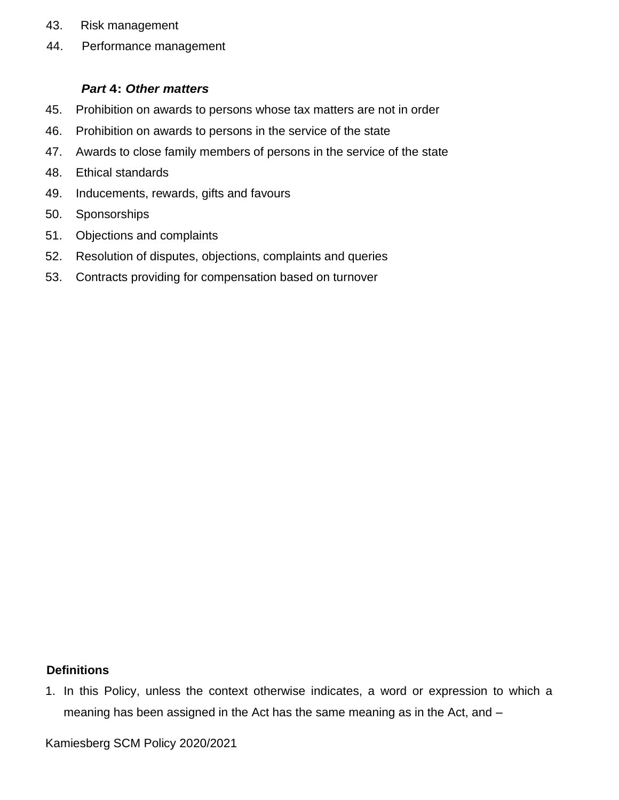- 43. Risk management
- 44. Performance management

#### *Part* **4:** *Other matters*

- 45. Prohibition on awards to persons whose tax matters are not in order
- 46. Prohibition on awards to persons in the service of the state
- 47. Awards to close family members of persons in the service of the state
- 48. Ethical standards
- 49. Inducements, rewards, gifts and favours
- 50. Sponsorships
- 51. Objections and complaints
- 52. Resolution of disputes, objections, complaints and queries
- 53. Contracts providing for compensation based on turnover

#### **Definitions**

1. In this Policy, unless the context otherwise indicates, a word or expression to which a meaning has been assigned in the Act has the same meaning as in the Act, and –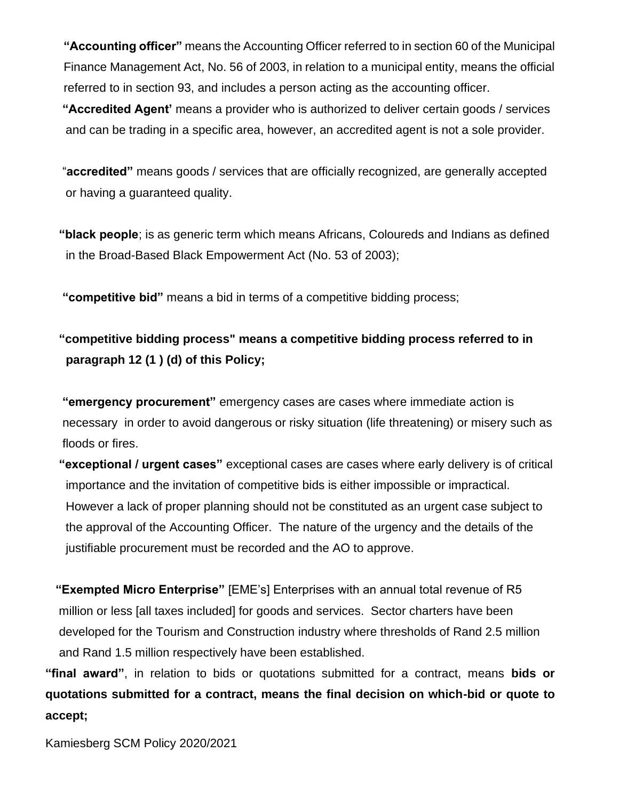**"Accounting officer"** means the Accounting Officer referred to in section 60 of the Municipal Finance Management Act, No. 56 of 2003, in relation to a municipal entity, means the official referred to in section 93, and includes a person acting as the accounting officer.

 **"Accredited Agent'** means a provider who is authorized to deliver certain goods / services and can be trading in a specific area, however, an accredited agent is not a sole provider.

 "**accredited"** means goods / services that are officially recognized, are generally accepted or having a guaranteed quality.

 **"black people**; is as generic term which means Africans, Coloureds and Indians as defined in the Broad-Based Black Empowerment Act (No. 53 of 2003);

 **"competitive bid"** means a bid in terms of a competitive bidding process;

# **"competitive bidding process" means a competitive bidding process referred to in paragraph 12 (1 ) (d) of this Policy;**

 **"emergency procurement"** emergency cases are cases where immediate action is necessary in order to avoid dangerous or risky situation (life threatening) or misery such as floods or fires.

 **"exceptional / urgent cases"** exceptional cases are cases where early delivery is of critical importance and the invitation of competitive bids is either impossible or impractical. However a lack of proper planning should not be constituted as an urgent case subject to the approval of the Accounting Officer. The nature of the urgency and the details of the justifiable procurement must be recorded and the AO to approve.

 **"Exempted Micro Enterprise"** [EME's] Enterprises with an annual total revenue of R5 million or less [all taxes included] for goods and services. Sector charters have been developed for the Tourism and Construction industry where thresholds of Rand 2.5 million and Rand 1.5 million respectively have been established.

**"final award"**, in relation to bids or quotations submitted for a contract, means **bids or quotations submitted for a contract, means the final decision on which-bid or quote to accept;**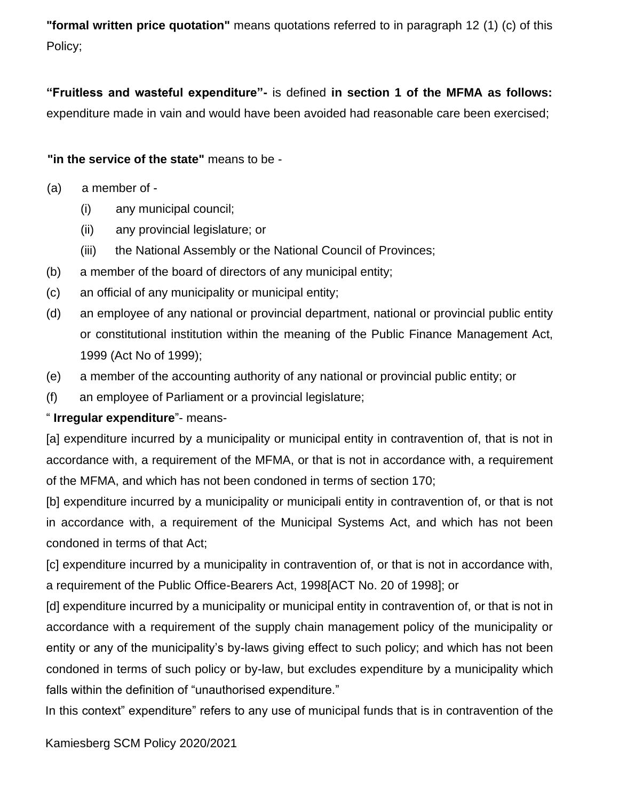**"formal written price quotation"** means quotations referred to in paragraph 12 (1) (c) of this Policy;

**"Fruitless and wasteful expenditure"-** is defined **in section 1 of the MFMA as follows:**  expenditure made in vain and would have been avoided had reasonable care been exercised;

#### **"in the service of the state"** means to be -

- (a) a member of
	- (i) any municipal council;
	- (ii) any provincial legislature; or
	- (iii) the National Assembly or the National Council of Provinces;
- (b) a member of the board of directors of any municipal entity;
- (c) an official of any municipality or municipal entity;
- (d) an employee of any national or provincial department, national or provincial public entity or constitutional institution within the meaning of the Public Finance Management Act, 1999 (Act No of 1999);
- (e) a member of the accounting authority of any national or provincial public entity; or
- (f) an employee of Parliament or a provincial legislature;

#### " **Irregular expenditure**"- means-

[a] expenditure incurred by a municipality or municipal entity in contravention of, that is not in accordance with, a requirement of the MFMA, or that is not in accordance with, a requirement of the MFMA, and which has not been condoned in terms of section 170;

[b] expenditure incurred by a municipality or municipali entity in contravention of, or that is not in accordance with, a requirement of the Municipal Systems Act, and which has not been condoned in terms of that Act;

[c] expenditure incurred by a municipality in contravention of, or that is not in accordance with, a requirement of the Public Office-Bearers Act, 1998[ACT No. 20 of 1998]; or

[d] expenditure incurred by a municipality or municipal entity in contravention of, or that is not in accordance with a requirement of the supply chain management policy of the municipality or entity or any of the municipality's by-laws giving effect to such policy; and which has not been condoned in terms of such policy or by-law, but excludes expenditure by a municipality which falls within the definition of "unauthorised expenditure."

In this context" expenditure" refers to any use of municipal funds that is in contravention of the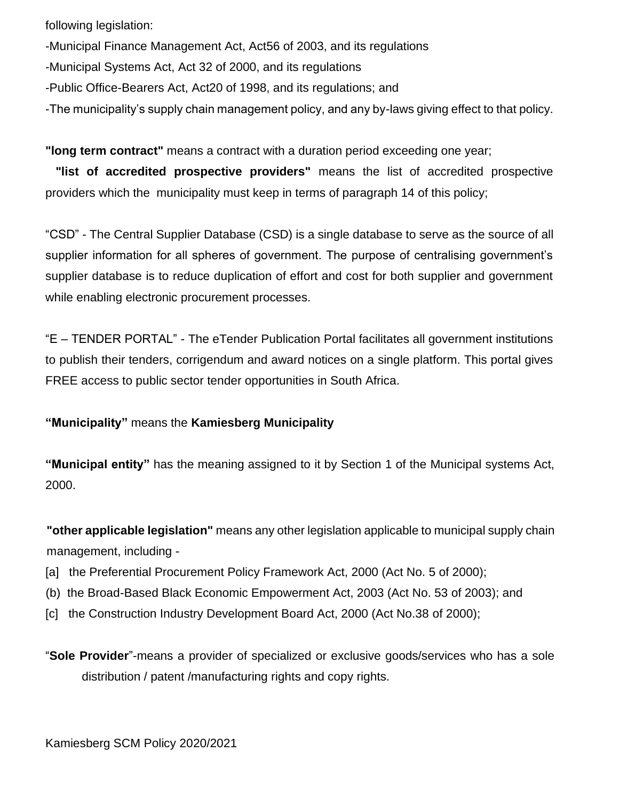following legislation:

-Municipal Finance Management Act, Act56 of 2003, and its regulations

-Municipal Systems Act, Act 32 of 2000, and its regulations

-Public Office-Bearers Act, Act20 of 1998, and its regulations; and

-The municipality's supply chain management policy, and any by-laws giving effect to that policy.

**"long term contract"** means a contract with a duration period exceeding one year;

 **"list of accredited prospective providers"** means the list of accredited prospective providers which the municipality must keep in terms of paragraph 14 of this policy;

"CSD" - The Central Supplier Database (CSD) is a single database to serve as the source of all supplier information for all spheres of government. The purpose of centralising government's supplier database is to reduce duplication of effort and cost for both supplier and government while enabling electronic procurement processes.

"E – TENDER PORTAL" - The eTender Publication Portal facilitates all government institutions to publish their tenders, corrigendum and award notices on a single platform. This portal gives FREE access to public sector tender opportunities in South Africa.

**"Municipality"** means the **Kamiesberg Municipality**

**"Municipal entity"** has the meaning assigned to it by Section 1 of the Municipal systems Act, 2000.

**"other applicable legislation"** means any other legislation applicable to municipal supply chain management, including -

- [a] the Preferential Procurement Policy Framework Act, 2000 (Act No. 5 of 2000);
- (b) the Broad-Based Black Economic Empowerment Act, 2003 (Act No. 53 of 2003); and
- [c] the Construction Industry Development Board Act, 2000 (Act No.38 of 2000);

"**Sole Provider**"-means a provider of specialized or exclusive goods/services who has a sole distribution / patent /manufacturing rights and copy rights.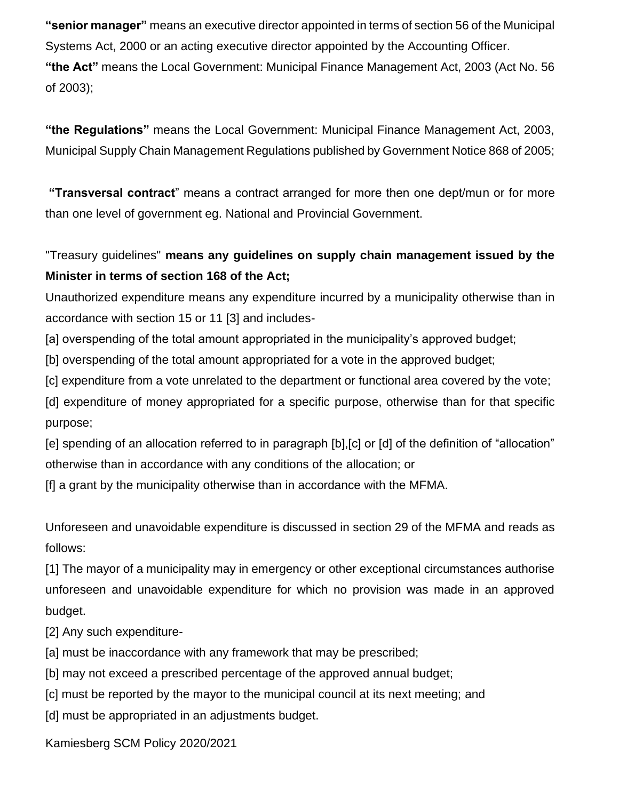**"senior manager"** means an executive director appointed in terms of section 56 of the Municipal Systems Act, 2000 or an acting executive director appointed by the Accounting Officer. **"the Act"** means the Local Government: Municipal Finance Management Act, 2003 (Act No. 56 of 2003);

**"the Regulations"** means the Local Government: Municipal Finance Management Act, 2003, Municipal Supply Chain Management Regulations published by Government Notice 868 of 2005;

**"Transversal contract**" means a contract arranged for more then one dept/mun or for more than one level of government eg. National and Provincial Government.

"Treasury guidelines" **means any guidelines on supply chain management issued by the Minister in terms of section 168 of the Act;** 

Unauthorized expenditure means any expenditure incurred by a municipality otherwise than in accordance with section 15 or 11 [3] and includes-

[a] overspending of the total amount appropriated in the municipality's approved budget;

[b] overspending of the total amount appropriated for a vote in the approved budget;

[c] expenditure from a vote unrelated to the department or functional area covered by the vote;

[d] expenditure of money appropriated for a specific purpose, otherwise than for that specific purpose;

[e] spending of an allocation referred to in paragraph [b],[c] or [d] of the definition of "allocation" otherwise than in accordance with any conditions of the allocation; or

[f] a grant by the municipality otherwise than in accordance with the MFMA.

Unforeseen and unavoidable expenditure is discussed in section 29 of the MFMA and reads as follows:

[1] The mayor of a municipality may in emergency or other exceptional circumstances authorise unforeseen and unavoidable expenditure for which no provision was made in an approved budget.

[2] Any such expenditure-

[a] must be inaccordance with any framework that may be prescribed;

[b] may not exceed a prescribed percentage of the approved annual budget;

[c] must be reported by the mayor to the municipal council at its next meeting; and

[d] must be appropriated in an adjustments budget.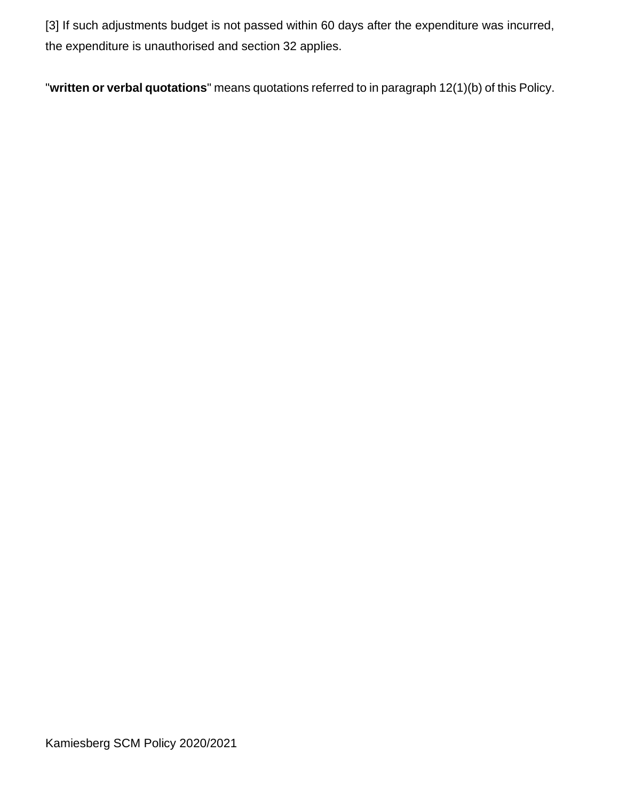[3] If such adjustments budget is not passed within 60 days after the expenditure was incurred, the expenditure is unauthorised and section 32 applies.

"**written or verbal quotations**" means quotations referred to in paragraph 12(1)(b) of this Policy.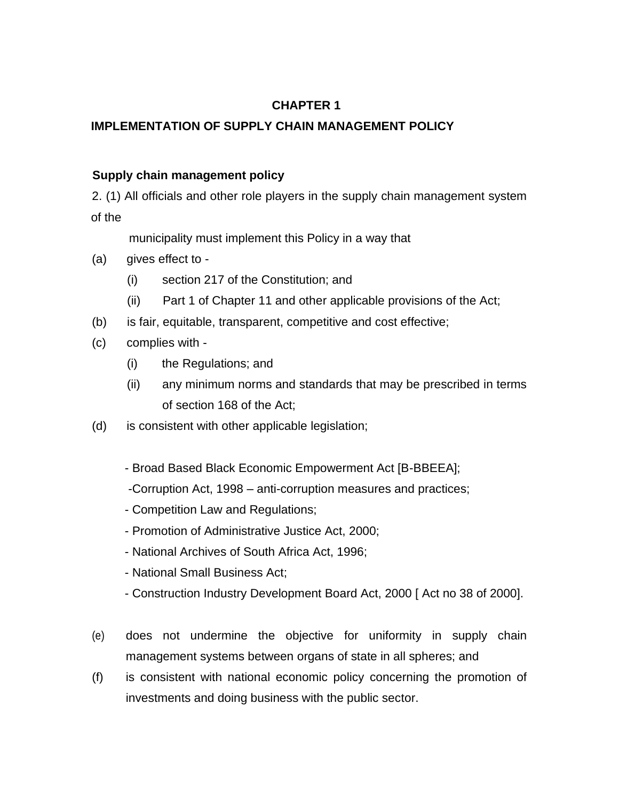# **CHAPTER 1**

# **IMPLEMENTATION OF SUPPLY CHAIN MANAGEMENT POLICY**

# **Supply chain management policy**

2. (1) All officials and other role players in the supply chain management system of the

municipality must implement this Policy in a way that

- (a) gives effect to
	- (i) section 217 of the Constitution; and
	- (ii) Part 1 of Chapter 11 and other applicable provisions of the Act;
- (b) is fair, equitable, transparent, competitive and cost effective;
- (c) complies with
	- (i) the Regulations; and
	- (ii) any minimum norms and standards that may be prescribed in terms of section 168 of the Act;
- (d) is consistent with other applicable legislation;
	- Broad Based Black Economic Empowerment Act [B-BBEEA];
	- -Corruption Act, 1998 anti-corruption measures and practices;
	- Competition Law and Regulations;
	- Promotion of Administrative Justice Act, 2000;
	- National Archives of South Africa Act, 1996;
	- National Small Business Act;
	- Construction Industry Development Board Act, 2000 [ Act no 38 of 2000].
- (e) does not undermine the objective for uniformity in supply chain management systems between organs of state in all spheres; and
- (f) is consistent with national economic policy concerning the promotion of investments and doing business with the public sector.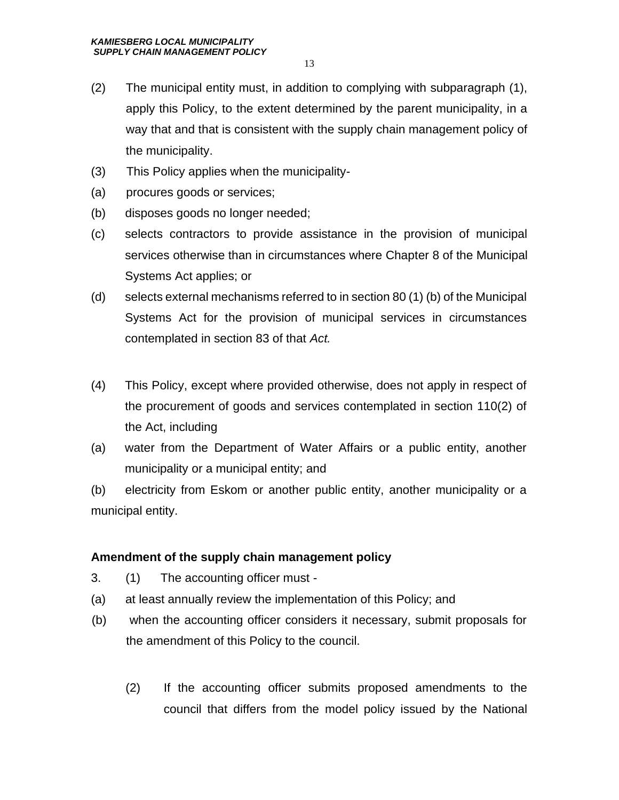- (2) The municipal entity must, in addition to complying with subparagraph (1), apply this Policy, to the extent determined by the parent municipality, in a way that and that is consistent with the supply chain management policy of the municipality.
- (3) This Policy applies when the municipality-
- (a) procures goods or services;
- (b) disposes goods no longer needed;
- (c) selects contractors to provide assistance in the provision of municipal services otherwise than in circumstances where Chapter 8 of the Municipal Systems Act applies; or
- (d) selects external mechanisms referred to in section 80 (1) (b) of the Municipal Systems Act for the provision of municipal services in circumstances contemplated in section 83 of that *Act.*
- (4) This Policy, except where provided otherwise, does not apply in respect of the procurement of goods and services contemplated in section 110(2) of the Act, including
- (a) water from the Department of Water Affairs or a public entity, another municipality or a municipal entity; and

(b) electricity from Eskom or another public entity, another municipality or a municipal entity.

#### **Amendment of the supply chain management policy**

- 3. (1) The accounting officer must -
- (a) at least annually review the implementation of this Policy; and
- (b) when the accounting officer considers it necessary, submit proposals for the amendment of this Policy to the council.
	- (2) If the accounting officer submits proposed amendments to the council that differs from the model policy issued by the National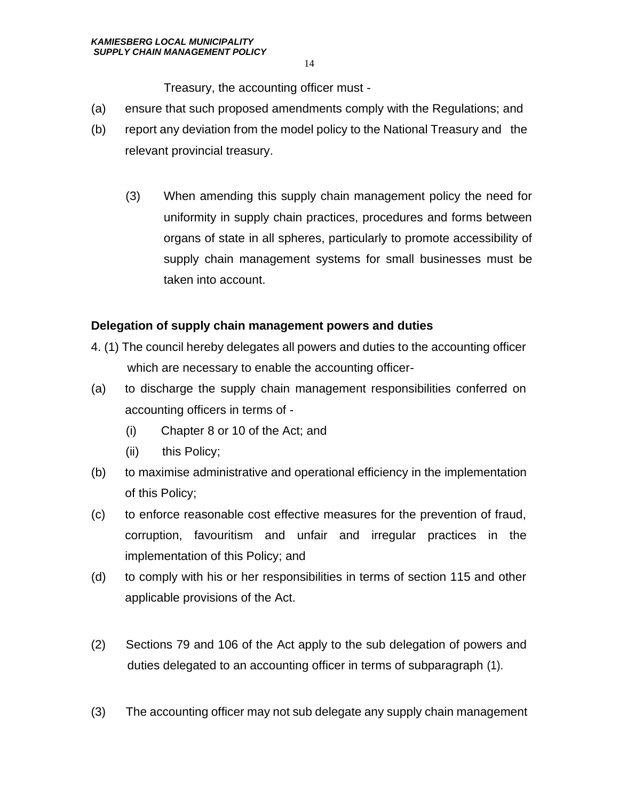Treasury, the accounting officer must -

- (a) ensure that such proposed amendments comply with the Regulations; and
- (b) report any deviation from the model policy to the National Treasury and the relevant provincial treasury.
	- (3) When amending this supply chain management policy the need for uniformity in supply chain practices, procedures and forms between organs of state in all spheres, particularly to promote accessibility of supply chain management systems for small businesses must be taken into account.

#### **Delegation of supply chain management powers and duties**

- 4. (1) The council hereby delegates all powers and duties to the accounting officer which are necessary to enable the accounting officer-
- (a) to discharge the supply chain management responsibilities conferred on accounting officers in terms of -
	- (i) Chapter 8 or 10 of the Act; and
	- (ii) this Policy;
- (b) to maximise administrative and operational efficiency in the implementation of this Policy;
- (c) to enforce reasonable cost effective measures for the prevention of fraud, corruption, favouritism and unfair and irregular practices in the implementation of this Policy; and
- (d) to comply with his or her responsibilities in terms of section 115 and other applicable provisions of the Act.
- (2) Sections 79 and 106 of the Act apply to the sub delegation of powers and duties delegated to an accounting officer in terms of subparagraph (1).
- (3) The accounting officer may not sub delegate any supply chain management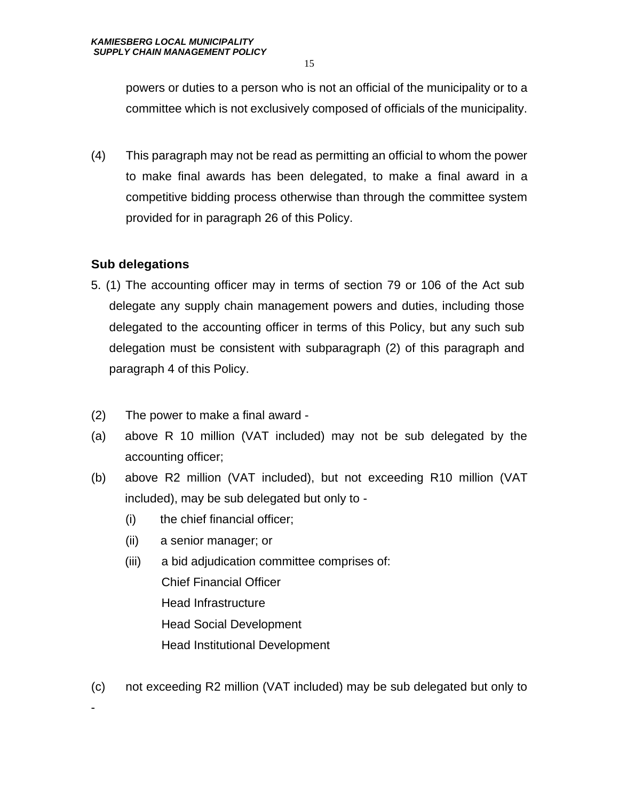powers or duties to a person who is not an official of the municipality or to a committee which is not exclusively composed of officials of the municipality.

(4) This paragraph may not be read as permitting an official to whom the power to make final awards has been delegated, to make a final award in a competitive bidding process otherwise than through the committee system provided for in paragraph 26 of this Policy.

# **Sub delegations**

-

- 5. (1) The accounting officer may in terms of section 79 or 106 of the Act sub delegate any supply chain management powers and duties, including those delegated to the accounting officer in terms of this Policy, but any such sub delegation must be consistent with subparagraph (2) of this paragraph and paragraph 4 of this Policy.
- (2) The power to make a final award -
- (a) above R 10 million (VAT included) may not be sub delegated by the accounting officer;
- (b) above R2 million (VAT included), but not exceeding R10 million (VAT included), may be sub delegated but only to -
	- (i) the chief financial officer;
	- (ii) a senior manager; or
	- (iii) a bid adjudication committee comprises of: Chief Financial Officer Head Infrastructure Head Social Development Head Institutional Development
- (c) not exceeding R2 million (VAT included) may be sub delegated but only to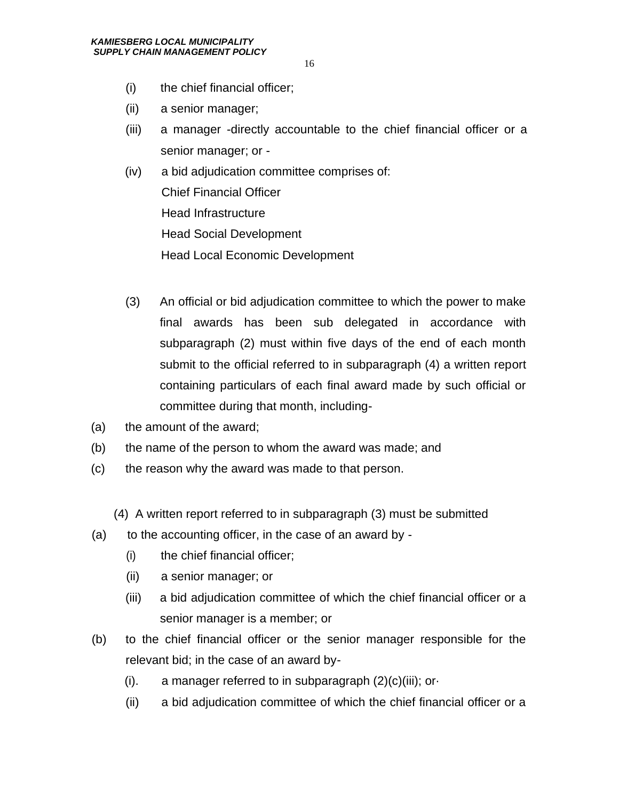- (i) the chief financial officer;
- (ii) a senior manager;
- (iii) a manager -directly accountable to the chief financial officer or a senior manager; or -
- (iv) a bid adjudication committee comprises of: Chief Financial Officer Head Infrastructure Head Social Development Head Local Economic Development
- (3) An official or bid adjudication committee to which the power to make final awards has been sub delegated in accordance with subparagraph (2) must within five days of the end of each month submit to the official referred to in subparagraph (4) a written report containing particulars of each final award made by such official or committee during that month, including-
- (a) the amount of the award;
- (b) the name of the person to whom the award was made; and
- (c) the reason why the award was made to that person.
	- (4) A written report referred to in subparagraph (3) must be submitted
- $(a)$  to the accounting officer, in the case of an award by -
	- (i) the chief financial officer;
	- (ii) a senior manager; or
	- (iii) a bid adjudication committee of which the chief financial officer or a senior manager is a member; or
- (b) to the chief financial officer or the senior manager responsible for the relevant bid; in the case of an award by-
	- (i). a manager referred to in subparagraph  $(2)(c)(iii)$ ; or-
	- (ii) a bid adjudication committee of which the chief financial officer or a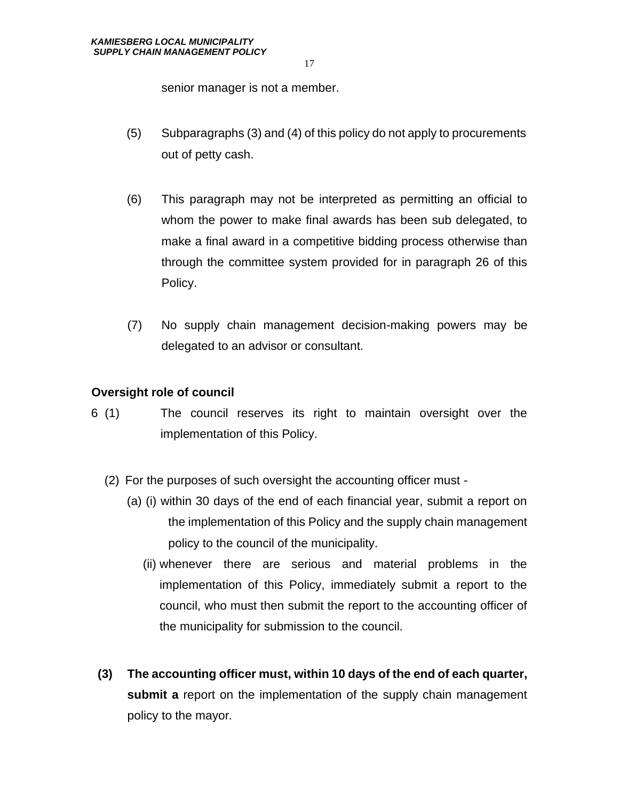senior manager is not a member.

- (5) Subparagraphs (3) and (4) of this policy do not apply to procurements out of petty cash.
- (6) This paragraph may not be interpreted as permitting an official to whom the power to make final awards has been sub delegated, to make a final award in a competitive bidding process otherwise than through the committee system provided for in paragraph 26 of this Policy.
- (7) No supply chain management decision-making powers may be delegated to an advisor or consultant.

#### **Oversight role of council**

- 6 (1) The council reserves its right to maintain oversight over the implementation of this Policy.
	- (2) For the purposes of such oversight the accounting officer must
		- (a) (i) within 30 days of the end of each financial year, submit a report on the implementation of this Policy and the supply chain management policy to the council of the municipality.
			- (ii) whenever there are serious and material problems in the implementation of this Policy, immediately submit a report to the council, who must then submit the report to the accounting officer of the municipality for submission to the council.
- **(3) The accounting officer must, within 10 days of the end of each quarter, submit a** report on the implementation of the supply chain management policy to the mayor*.*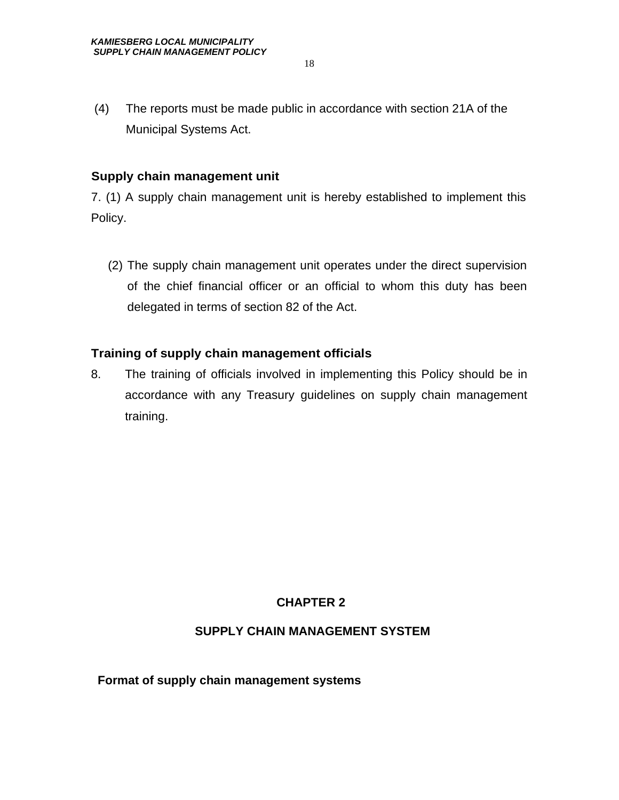(4) The reports must be made public in accordance with section 21A of the Municipal Systems Act.

#### **Supply chain management unit**

7. (1) A supply chain management unit is hereby established to implement this Policy.

 (2) The supply chain management unit operates under the direct supervision of the chief financial officer or an official to whom this duty has been delegated in terms of section 82 of the Act.

# **Training of supply chain management officials**

8. The training of officials involved in implementing this Policy should be in accordance with any Treasury guidelines on supply chain management training.

# **CHAPTER 2**

#### **SUPPLY CHAIN MANAGEMENT SYSTEM**

**Format of supply chain management systems**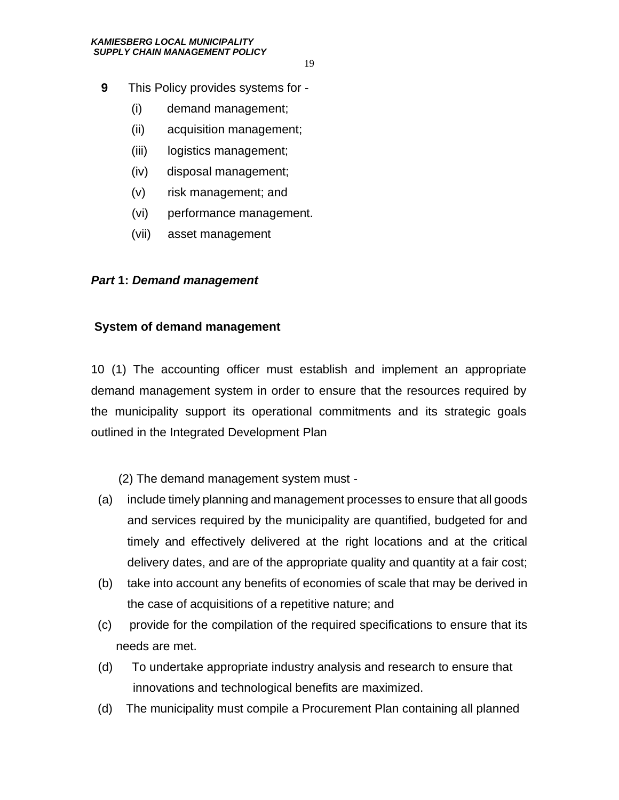- **9** This Policy provides systems for
	- (i) demand management;
	- (ii) acquisition management;
	- (iii) logistics management;
	- (iv) disposal management;
	- (v) risk management; and
	- (vi) performance management.
	- (vii) asset management

#### *Part* **1:** *Demand management*

#### **System of demand management**

10 (1) The accounting officer must establish and implement an appropriate demand management system in order to ensure that the resources required by the municipality support its operational commitments and its strategic goals outlined in the Integrated Development Plan

(2) The demand management system must -

- (a) include timely planning and management processes to ensure that all goods and services required by the municipality are quantified, budgeted for and timely and effectively delivered at the right locations and at the critical delivery dates, and are of the appropriate quality and quantity at a fair cost;
- (b) take into account any benefits of economies of scale that may be derived in the case of acquisitions of a repetitive nature; and
- (c) provide for the compilation of the required specifications to ensure that its needs are met.
- (d) To undertake appropriate industry analysis and research to ensure that innovations and technological benefits are maximized.
- (d) The municipality must compile a Procurement Plan containing all planned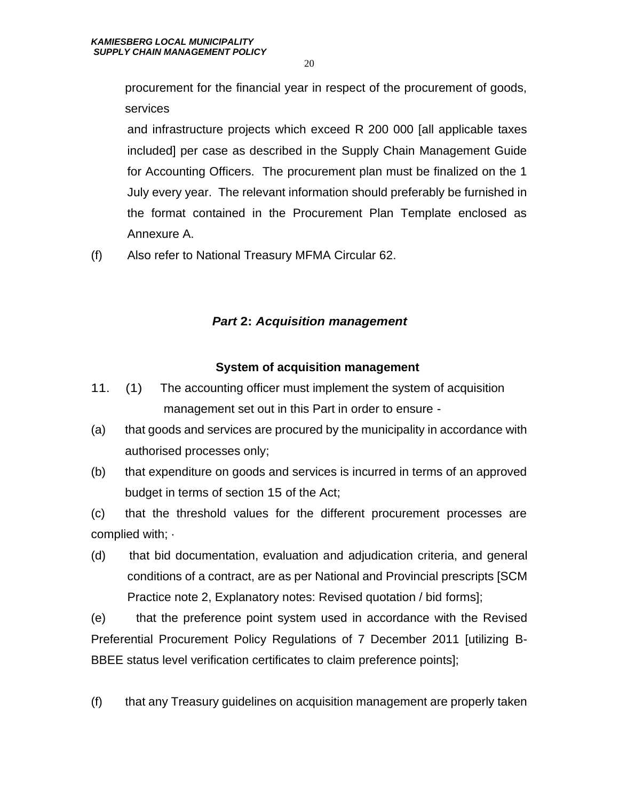procurement for the financial year in respect of the procurement of goods, services

and infrastructure projects which exceed R 200 000 [all applicable taxes included] per case as described in the Supply Chain Management Guide for Accounting Officers. The procurement plan must be finalized on the 1 July every year. The relevant information should preferably be furnished in the format contained in the Procurement Plan Template enclosed as Annexure A.

(f) Also refer to National Treasury MFMA Circular 62.

# *Part* **2:** *Acquisition management*

# **System of acquisition management**

- 11. (1) The accounting officer must implement the system of acquisition management set out in this Part in order to ensure -
- (a) that goods and services are procured by the municipality in accordance with authorised processes only;
- (b) that expenditure on goods and services is incurred in terms of an approved budget in terms of section 15 of the Act;

(c) that the threshold values for the different procurement processes are complied with; ·

(d) that bid documentation, evaluation and adjudication criteria, and general conditions of a contract, are as per National and Provincial prescripts [SCM Practice note 2, Explanatory notes: Revised quotation / bid forms];

(e) that the preference point system used in accordance with the Revised Preferential Procurement Policy Regulations of 7 December 2011 [utilizing B-BBEE status level verification certificates to claim preference points];

(f) that any Treasury guidelines on acquisition management are properly taken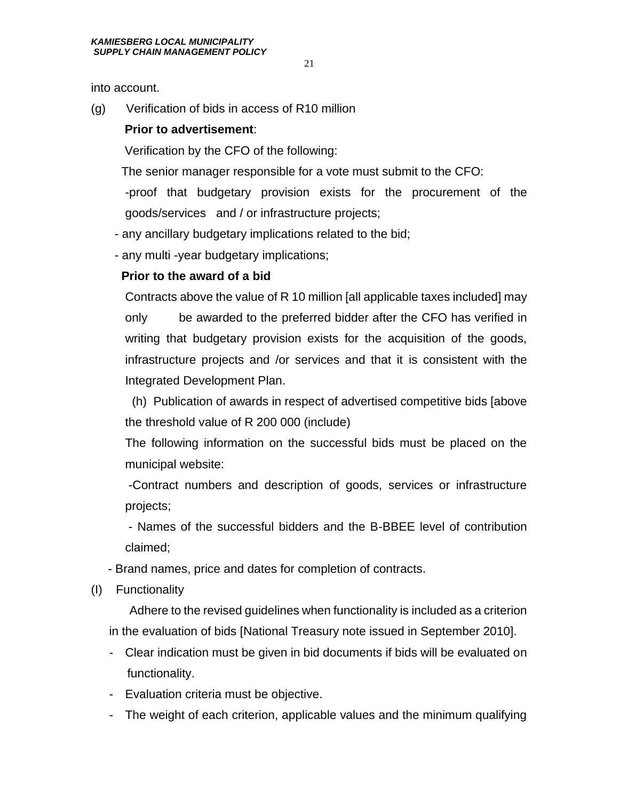into account.

(g) Verification of bids in access of R10 million

#### **Prior to advertisement**:

Verification by the CFO of the following:

The senior manager responsible for a vote must submit to the CFO:

-proof that budgetary provision exists for the procurement of the goods/services and / or infrastructure projects;

- any ancillary budgetary implications related to the bid;

- any multi -year budgetary implications;

#### **Prior to the award of a bid**

Contracts above the value of R 10 million [all applicable taxes included] may only be awarded to the preferred bidder after the CFO has verified in writing that budgetary provision exists for the acquisition of the goods, infrastructure projects and /or services and that it is consistent with the Integrated Development Plan.

 (h) Publication of awards in respect of advertised competitive bids [above the threshold value of R 200 000 (include)

The following information on the successful bids must be placed on the municipal website:

-Contract numbers and description of goods, services or infrastructure projects;

- Names of the successful bidders and the B-BBEE level of contribution claimed;

- Brand names, price and dates for completion of contracts.
- (I) Functionality

 Adhere to the revised guidelines when functionality is included as a criterion in the evaluation of bids [National Treasury note issued in September 2010].

- Clear indication must be given in bid documents if bids will be evaluated on functionality.
- Evaluation criteria must be objective.
- The weight of each criterion, applicable values and the minimum qualifying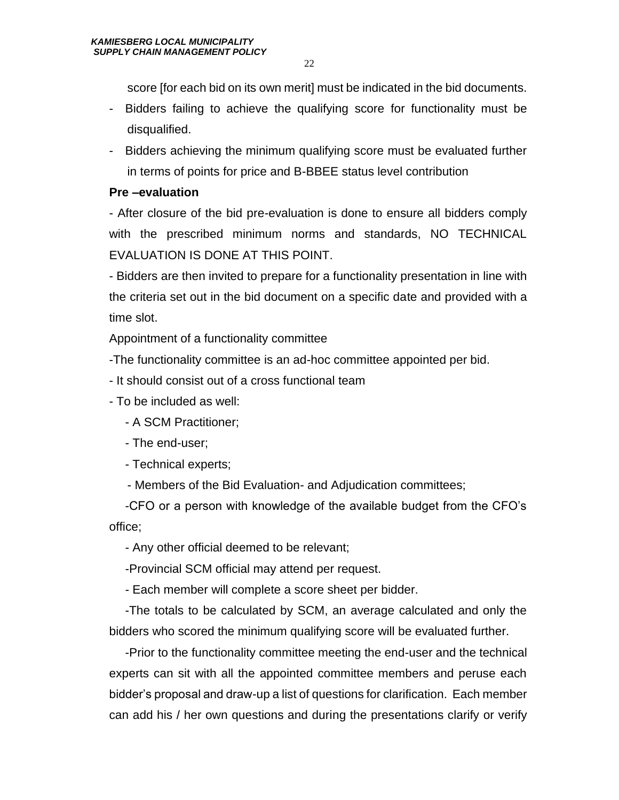score [for each bid on its own merit] must be indicated in the bid documents.

- Bidders failing to achieve the qualifying score for functionality must be disqualified.
- Bidders achieving the minimum qualifying score must be evaluated further in terms of points for price and B-BBEE status level contribution

#### **Pre –evaluation**

- After closure of the bid pre-evaluation is done to ensure all bidders comply with the prescribed minimum norms and standards, NO TECHNICAL EVALUATION IS DONE AT THIS POINT.

- Bidders are then invited to prepare for a functionality presentation in line with the criteria set out in the bid document on a specific date and provided with a time slot.

Appointment of a functionality committee

-The functionality committee is an ad-hoc committee appointed per bid.

- It should consist out of a cross functional team

- To be included as well:

- A SCM Practitioner;

- The end-user;

- Technical experts;

- Members of the Bid Evaluation- and Adjudication committees;

-CFO or a person with knowledge of the available budget from the CFO's office;

- Any other official deemed to be relevant;

-Provincial SCM official may attend per request.

- Each member will complete a score sheet per bidder.

-The totals to be calculated by SCM, an average calculated and only the bidders who scored the minimum qualifying score will be evaluated further.

-Prior to the functionality committee meeting the end-user and the technical experts can sit with all the appointed committee members and peruse each bidder's proposal and draw-up a list of questions for clarification. Each member can add his / her own questions and during the presentations clarify or verify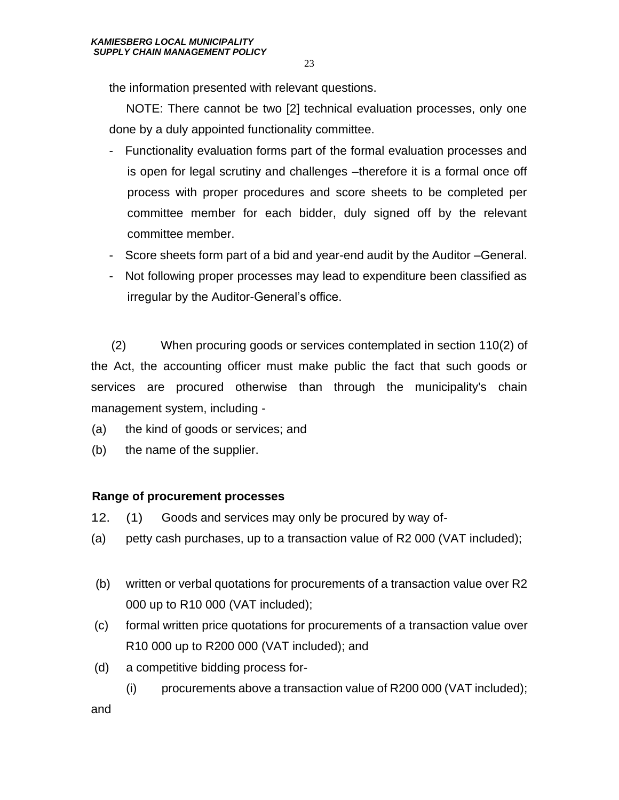the information presented with relevant questions.

 NOTE: There cannot be two [2] technical evaluation processes, only one done by a duly appointed functionality committee.

- Functionality evaluation forms part of the formal evaluation processes and is open for legal scrutiny and challenges –therefore it is a formal once off process with proper procedures and score sheets to be completed per committee member for each bidder, duly signed off by the relevant committee member.
- Score sheets form part of a bid and year-end audit by the Auditor –General.
- Not following proper processes may lead to expenditure been classified as irregular by the Auditor-General's office.

 (2) When procuring goods or services contemplated in section 110(2) of the Act, the accounting officer must make public the fact that such goods or services are procured otherwise than through the municipality's chain management system, including -

- (a) the kind of goods or services; and
- (b) the name of the supplier.

# **Range of procurement processes**

- 12. (1) Goods and services may only be procured by way of-
- (a) petty cash purchases, up to a transaction value of R2 000 (VAT included);
- (b) written or verbal quotations for procurements of a transaction value over R2 000 up to R10 000 (VAT included);
- (c) formal written price quotations for procurements of a transaction value over R10 000 up to R200 000 (VAT included); and
- (d) a competitive bidding process for-
	- (i) procurements above a transaction value of R200 000 (VAT included);

and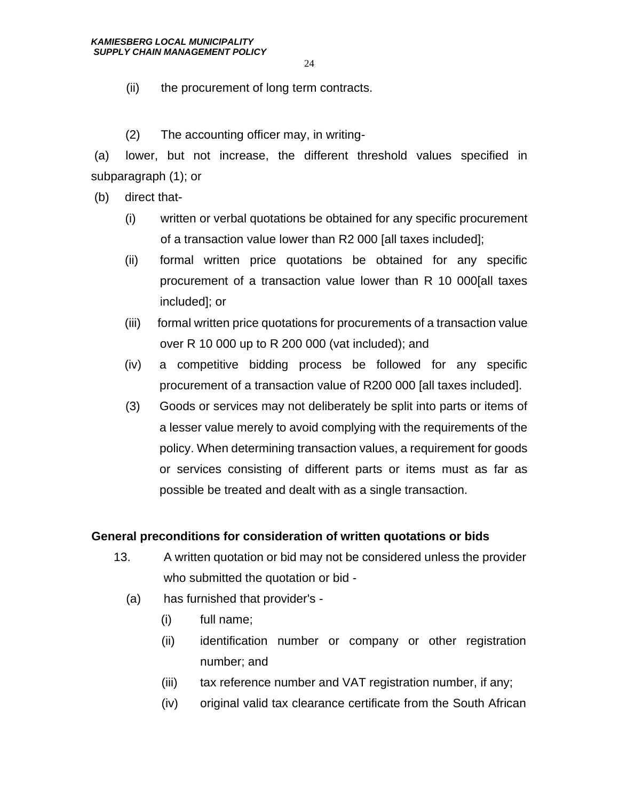- (ii) the procurement of long term contracts.
- (2) The accounting officer may, in writing-

(a) lower, but not increase, the different threshold values specified in subparagraph (1); or

(b) direct that-

- (i) written or verbal quotations be obtained for any specific procurement of a transaction value lower than R2 000 [all taxes included];
- (ii) formal written price quotations be obtained for any specific procurement of a transaction value lower than R 10 000[all taxes included]; or
- (iii) formal written price quotations for procurements of a transaction value over R 10 000 up to R 200 000 (vat included); and
- (iv) a competitive bidding process be followed for any specific procurement of a transaction value of R200 000 [all taxes included].
- (3) Goods or services may not deliberately be split into parts or items of a lesser value merely to avoid complying with the requirements of the policy. When determining transaction values, a requirement for goods or services consisting of different parts or items must as far as possible be treated and dealt with as a single transaction.

#### **General preconditions for consideration of written quotations or bids**

- 13. A written quotation or bid may not be considered unless the provider who submitted the quotation or bid -
	- (a) has furnished that provider's
		- (i) full name;
		- (ii) identification number or company or other registration number; and
		- (iii) tax reference number and VAT registration number, if any;
		- (iv) original valid tax clearance certificate from the South African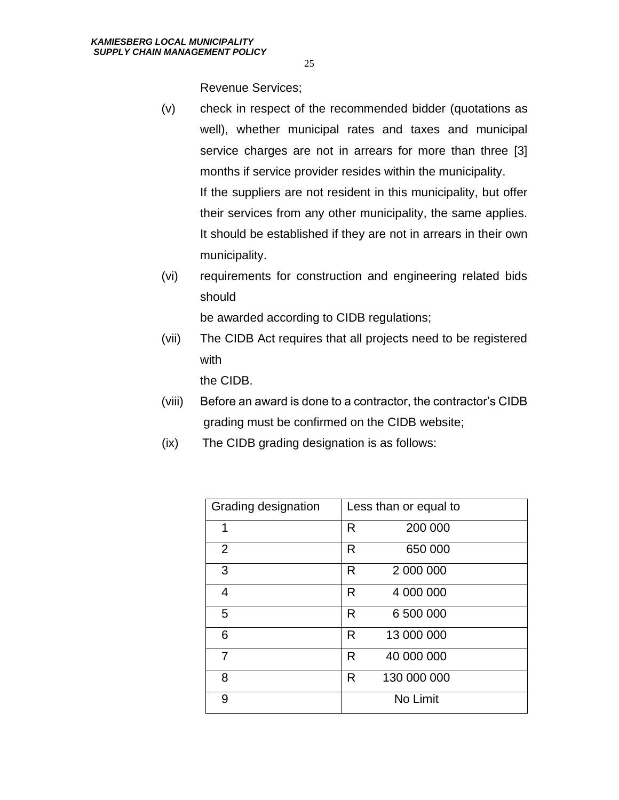Revenue Services;

- (v) check in respect of the recommended bidder (quotations as well), whether municipal rates and taxes and municipal service charges are not in arrears for more than three [3] months if service provider resides within the municipality. If the suppliers are not resident in this municipality, but offer their services from any other municipality, the same applies. It should be established if they are not in arrears in their own municipality.
- (vi) requirements for construction and engineering related bids should

be awarded according to CIDB regulations;

(vii) The CIDB Act requires that all projects need to be registered with

the CIDB.

- (viii) Before an award is done to a contractor, the contractor's CIDB grading must be confirmed on the CIDB website;
- (ix) The CIDB grading designation is as follows:

| Grading designation | Less than or equal to |             |
|---------------------|-----------------------|-------------|
| 1                   | R                     | 200 000     |
| $\overline{2}$      | R                     | 650 000     |
| 3                   | R                     | 2 000 000   |
| 4                   | R                     | 4 000 000   |
| 5                   | R                     | 6 500 000   |
| 6                   | R                     | 13 000 000  |
| 7                   | R                     | 40 000 000  |
| 8                   | R                     | 130 000 000 |
| 9                   |                       | No Limit    |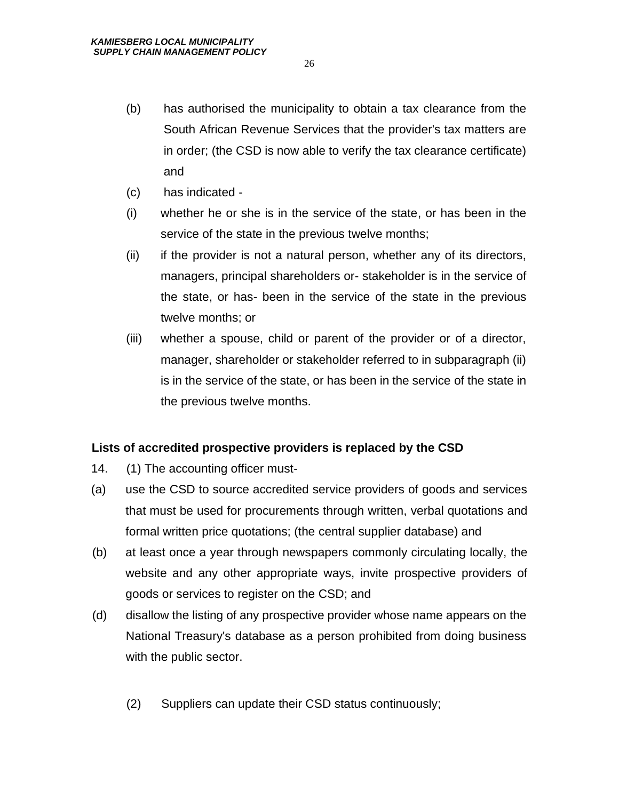- (b) has authorised the municipality to obtain a tax clearance from the South African Revenue Services that the provider's tax matters are in order; (the CSD is now able to verify the tax clearance certificate) and
- (c) has indicated -
- (i) whether he or she is in the service of the state, or has been in the service of the state in the previous twelve months;
- (ii) if the provider is not a natural person, whether any of its directors, managers, principal shareholders or- stakeholder is in the service of the state, or has- been in the service of the state in the previous twelve months; or
- (iii) whether a spouse, child or parent of the provider or of a director, manager, shareholder or stakeholder referred to in subparagraph (ii) is in the service of the state, or has been in the service of the state in the previous twelve months.

#### **Lists of accredited prospective providers is replaced by the CSD**

- 14. (1) The accounting officer must-
- (a) use the CSD to source accredited service providers of goods and services that must be used for procurements through written, verbal quotations and formal written price quotations; (the central supplier database) and
- (b) at least once a year through newspapers commonly circulating locally, the website and any other appropriate ways, invite prospective providers of goods or services to register on the CSD; and
- (d) disallow the listing of any prospective provider whose name appears on the National Treasury's database as a person prohibited from doing business with the public sector.
	- (2) Suppliers can update their CSD status continuously;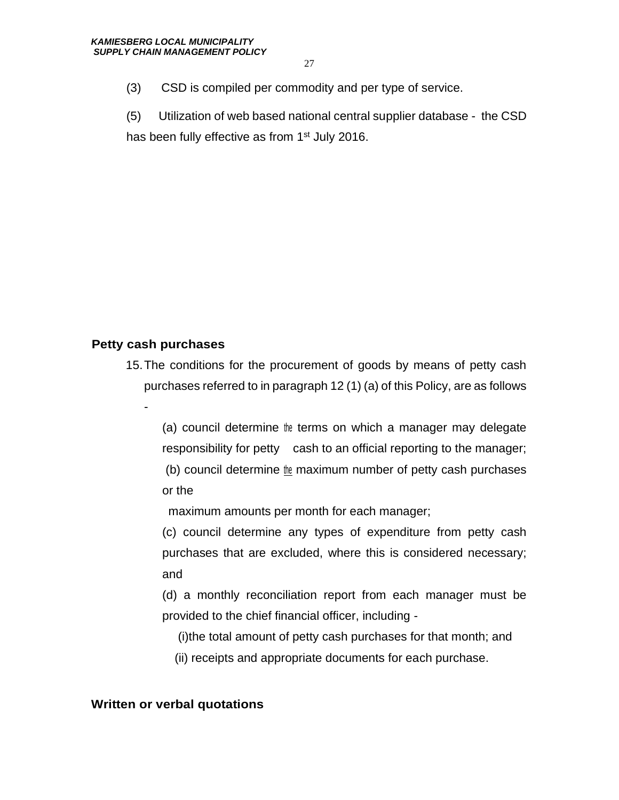(3) CSD is compiled per commodity and per type of service.

(5) Utilization of web based national central supplier database - the CSD has been fully effective as from 1<sup>st</sup> July 2016.

# **Petty cash purchases**

-

15.The conditions for the procurement of goods by means of petty cash purchases referred to in paragraph 12 (1) (a) of this Policy, are as follows

(a) council determine the terms on which a manager may delegate responsibility for petty cash to an official reporting to the manager; (b) council determine the maximum number of petty cash purchases or the

maximum amounts per month for each manager;

(c) council determine any types of expenditure from petty cash purchases that are excluded, where this is considered necessary; and

(d) a monthly reconciliation report from each manager must be provided to the chief financial officer, including -

(i)the total amount of petty cash purchases for that month; and

(ii) receipts and appropriate documents for each purchase.

# **Written or verbal quotations**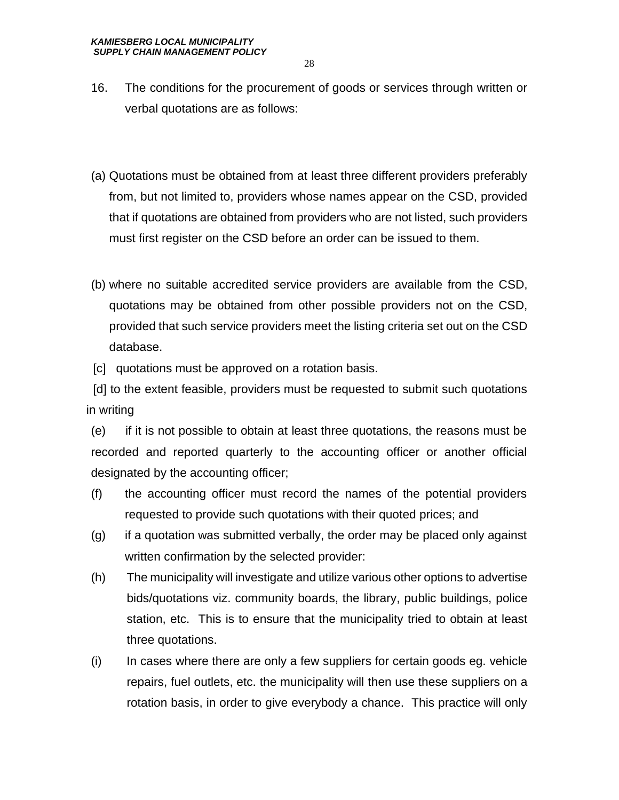- 16. The conditions for the procurement of goods or services through written or verbal quotations are as follows:
- (a) Quotations must be obtained from at least three different providers preferably from, but not limited to, providers whose names appear on the CSD, provided that if quotations are obtained from providers who are not listed, such providers must first register on the CSD before an order can be issued to them.
- (b) where no suitable accredited service providers are available from the CSD, quotations may be obtained from other possible providers not on the CSD, provided that such service providers meet the listing criteria set out on the CSD database.

[c] quotations must be approved on a rotation basis.

 [d] to the extent feasible, providers must be requested to submit such quotations in writing

(e) if it is not possible to obtain at least three quotations, the reasons must be recorded and reported quarterly to the accounting officer or another official designated by the accounting officer;

- (f) the accounting officer must record the names of the potential providers requested to provide such quotations with their quoted prices; and
- (g) if a quotation was submitted verbally, the order may be placed only against written confirmation by the selected provider:
- (h) The municipality will investigate and utilize various other options to advertise bids/quotations viz. community boards, the library, public buildings, police station, etc. This is to ensure that the municipality tried to obtain at least three quotations.
- (i) In cases where there are only a few suppliers for certain goods eg. vehicle repairs, fuel outlets, etc. the municipality will then use these suppliers on a rotation basis, in order to give everybody a chance. This practice will only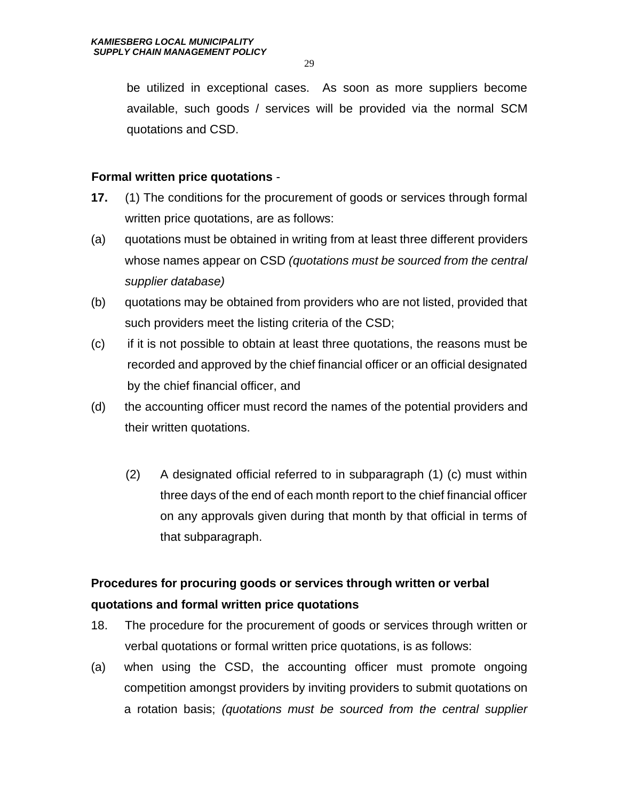be utilized in exceptional cases. As soon as more suppliers become available, such goods / services will be provided via the normal SCM quotations and CSD.

#### **Formal written price quotations** -

- **17.** (1) The conditions for the procurement of goods or services through formal written price quotations, are as follows:
- (a) quotations must be obtained in writing from at least three different providers whose names appear on CSD *(quotations must be sourced from the central supplier database)*
- (b) quotations may be obtained from providers who are not listed, provided that such providers meet the listing criteria of the CSD;
- (c) if it is not possible to obtain at least three quotations, the reasons must be recorded and approved by the chief financial officer or an official designated by the chief financial officer, and
- (d) the accounting officer must record the names of the potential providers and their written quotations.
	- (2) A designated official referred to in subparagraph (1) (c) must within three days of the end of each month report to the chief financial officer on any approvals given during that month by that official in terms of that subparagraph.

# **Procedures for procuring goods or services through written or verbal quotations and formal written price quotations**

- 18. The procedure for the procurement of goods or services through written or verbal quotations or formal written price quotations, is as follows:
- (a) when using the CSD, the accounting officer must promote ongoing competition amongst providers by inviting providers to submit quotations on a rotation basis; *(quotations must be sourced from the central supplier*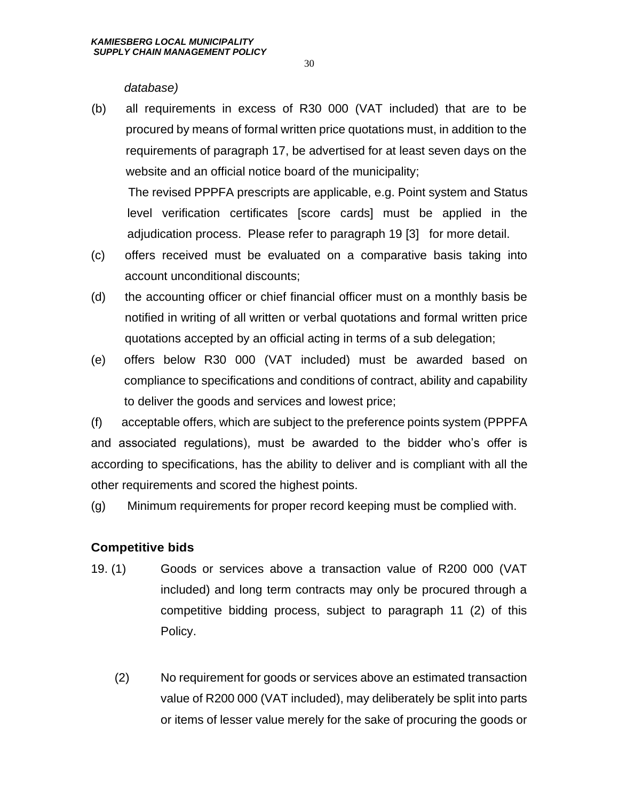#### *database)*

(b) all requirements in excess of R30 000 (VAT included) that are to be procured by means of formal written price quotations must, in addition to the requirements of paragraph 17, be advertised for at least seven days on the website and an official notice board of the municipality;

 The revised PPPFA prescripts are applicable, e.g. Point system and Status level verification certificates [score cards] must be applied in the adjudication process. Please refer to paragraph 19 [3] for more detail.

- (c) offers received must be evaluated on a comparative basis taking into account unconditional discounts;
- (d) the accounting officer or chief financial officer must on a monthly basis be notified in writing of all written or verbal quotations and formal written price quotations accepted by an official acting in terms of a sub delegation;
- (e) offers below R30 000 (VAT included) must be awarded based on compliance to specifications and conditions of contract, ability and capability to deliver the goods and services and lowest price;

(f) acceptable offers, which are subject to the preference points system (PPPFA and associated regulations), must be awarded to the bidder who's offer is according to specifications, has the ability to deliver and is compliant with all the other requirements and scored the highest points.

(g) Minimum requirements for proper record keeping must be complied with.

# **Competitive bids**

- 19. (1) Goods or services above a transaction value of R200 000 (VAT included) and long term contracts may only be procured through a competitive bidding process, subject to paragraph 11 (2) of this Policy.
	- (2) No requirement for goods or services above an estimated transaction value of R200 000 (VAT included), may deliberately be split into parts or items of lesser value merely for the sake of procuring the goods or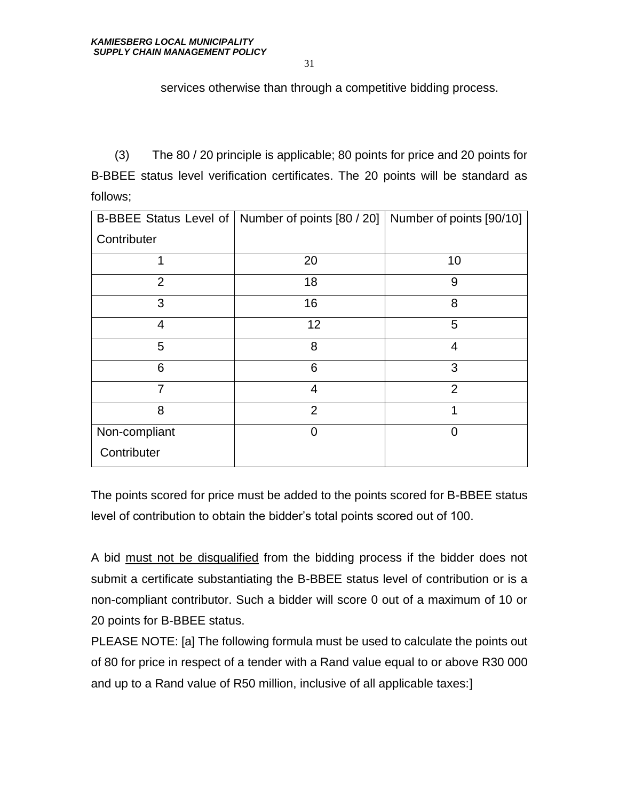services otherwise than through a competitive bidding process.

 (3) The 80 / 20 principle is applicable; 80 points for price and 20 points for B-BBEE status level verification certificates. The 20 points will be standard as follows;

|                | B-BBEE Status Level of   Number of points [80 / 20]   Number of points [90/10] |                |
|----------------|--------------------------------------------------------------------------------|----------------|
| Contributer    |                                                                                |                |
| 1              | 20                                                                             | 10             |
| $\overline{2}$ | 18                                                                             | 9              |
| 3              | 16                                                                             | 8              |
| 4              | 12                                                                             | 5              |
| 5              | 8                                                                              | 4              |
| 6              | 6                                                                              | 3              |
| 7              | $\overline{4}$                                                                 | $\overline{2}$ |
| 8              | $\overline{2}$                                                                 | 1              |
| Non-compliant  | 0                                                                              | 0              |
| Contributer    |                                                                                |                |

The points scored for price must be added to the points scored for B-BBEE status level of contribution to obtain the bidder's total points scored out of 100.

A bid must not be disqualified from the bidding process if the bidder does not submit a certificate substantiating the B-BBEE status level of contribution or is a non-compliant contributor. Such a bidder will score 0 out of a maximum of 10 or 20 points for B-BBEE status.

PLEASE NOTE: [a] The following formula must be used to calculate the points out of 80 for price in respect of a tender with a Rand value equal to or above R30 000 and up to a Rand value of R50 million, inclusive of all applicable taxes:]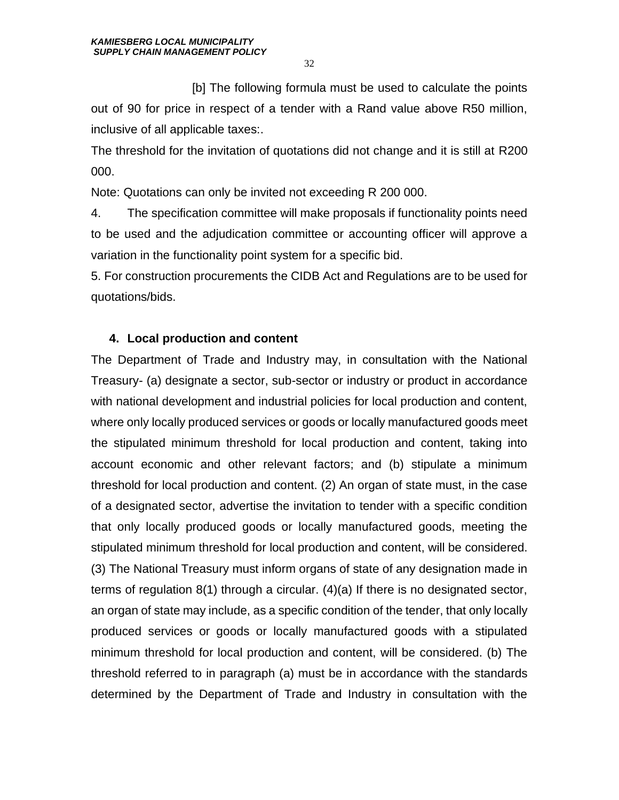[b] The following formula must be used to calculate the points out of 90 for price in respect of a tender with a Rand value above R50 million, inclusive of all applicable taxes:.

The threshold for the invitation of quotations did not change and it is still at R200 000.

Note: Quotations can only be invited not exceeding R 200 000.

4. The specification committee will make proposals if functionality points need to be used and the adjudication committee or accounting officer will approve a variation in the functionality point system for a specific bid.

5. For construction procurements the CIDB Act and Regulations are to be used for quotations/bids.

# **4. Local production and content**

The Department of Trade and Industry may, in consultation with the National Treasury- (a) designate a sector, sub-sector or industry or product in accordance with national development and industrial policies for local production and content, where only locally produced services or goods or locally manufactured goods meet the stipulated minimum threshold for local production and content, taking into account economic and other relevant factors; and (b) stipulate a minimum threshold for local production and content. (2) An organ of state must, in the case of a designated sector, advertise the invitation to tender with a specific condition that only locally produced goods or locally manufactured goods, meeting the stipulated minimum threshold for local production and content, will be considered. (3) The National Treasury must inform organs of state of any designation made in terms of regulation 8(1) through a circular. (4)(a) If there is no designated sector, an organ of state may include, as a specific condition of the tender, that only locally produced services or goods or locally manufactured goods with a stipulated minimum threshold for local production and content, will be considered. (b) The threshold referred to in paragraph (a) must be in accordance with the standards determined by the Department of Trade and Industry in consultation with the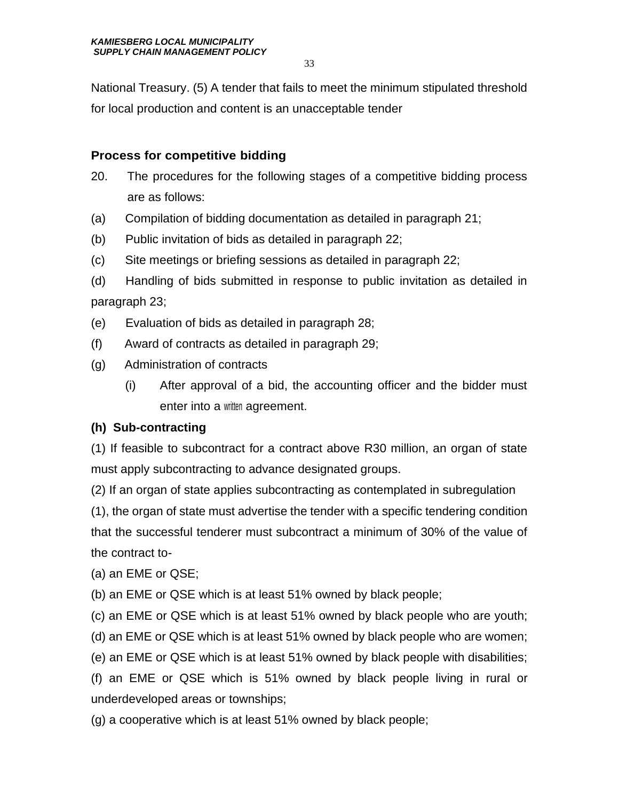National Treasury. (5) A tender that fails to meet the minimum stipulated threshold for local production and content is an unacceptable tender

# **Process for competitive bidding**

- 20. The procedures for the following stages of a competitive bidding process are as follows:
- (a) Compilation of bidding documentation as detailed in paragraph 21;
- (b) Public invitation of bids as detailed in paragraph 22;
- (c) Site meetings or briefing sessions as detailed in paragraph 22;
- (d) Handling of bids submitted in response to public invitation as detailed in paragraph 23;
- (e) Evaluation of bids as detailed in paragraph 28;
- (f) Award of contracts as detailed in paragraph 29;
- (g) Administration of contracts
	- (i) After approval of a bid, the accounting officer and the bidder must enter into a written agreement.

# **(h) Sub-contracting**

(1) If feasible to subcontract for a contract above R30 million, an organ of state must apply subcontracting to advance designated groups.

(2) If an organ of state applies subcontracting as contemplated in subregulation

(1), the organ of state must advertise the tender with a specific tendering condition that the successful tenderer must subcontract a minimum of 30% of the value of the contract to-

(a) an EME or QSE;

(b) an EME or QSE which is at least 51% owned by black people;

(c) an EME or QSE which is at least 51% owned by black people who are youth;

(d) an EME or QSE which is at least 51% owned by black people who are women;

(e) an EME or QSE which is at least 51% owned by black people with disabilities;

(f) an EME or QSE which is 51% owned by black people living in rural or underdeveloped areas or townships;

(g) a cooperative which is at least 51% owned by black people;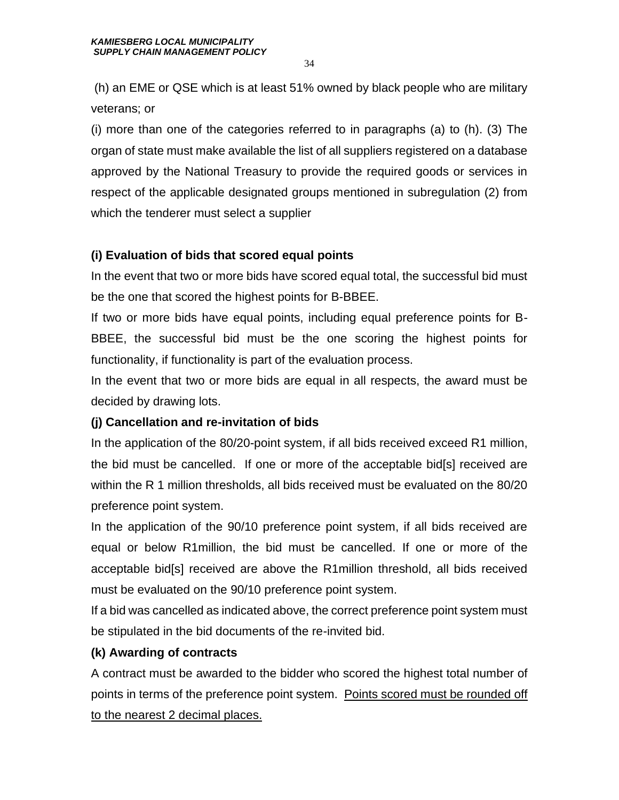(h) an EME or QSE which is at least 51% owned by black people who are military veterans; or

(i) more than one of the categories referred to in paragraphs (a) to (h). (3) The organ of state must make available the list of all suppliers registered on a database approved by the National Treasury to provide the required goods or services in respect of the applicable designated groups mentioned in subregulation (2) from which the tenderer must select a supplier

# **(i) Evaluation of bids that scored equal points**

In the event that two or more bids have scored equal total, the successful bid must be the one that scored the highest points for B-BBEE.

If two or more bids have equal points, including equal preference points for B-BBEE, the successful bid must be the one scoring the highest points for functionality, if functionality is part of the evaluation process.

In the event that two or more bids are equal in all respects, the award must be decided by drawing lots.

# **(j) Cancellation and re-invitation of bids**

In the application of the 80/20-point system, if all bids received exceed R1 million, the bid must be cancelled. If one or more of the acceptable bid[s] received are within the R 1 million thresholds, all bids received must be evaluated on the 80/20 preference point system.

In the application of the 90/10 preference point system, if all bids received are equal or below R1million, the bid must be cancelled. If one or more of the acceptable bid[s] received are above the R1million threshold, all bids received must be evaluated on the 90/10 preference point system.

If a bid was cancelled as indicated above, the correct preference point system must be stipulated in the bid documents of the re-invited bid.

# **(k) Awarding of contracts**

A contract must be awarded to the bidder who scored the highest total number of points in terms of the preference point system. Points scored must be rounded off to the nearest 2 decimal places.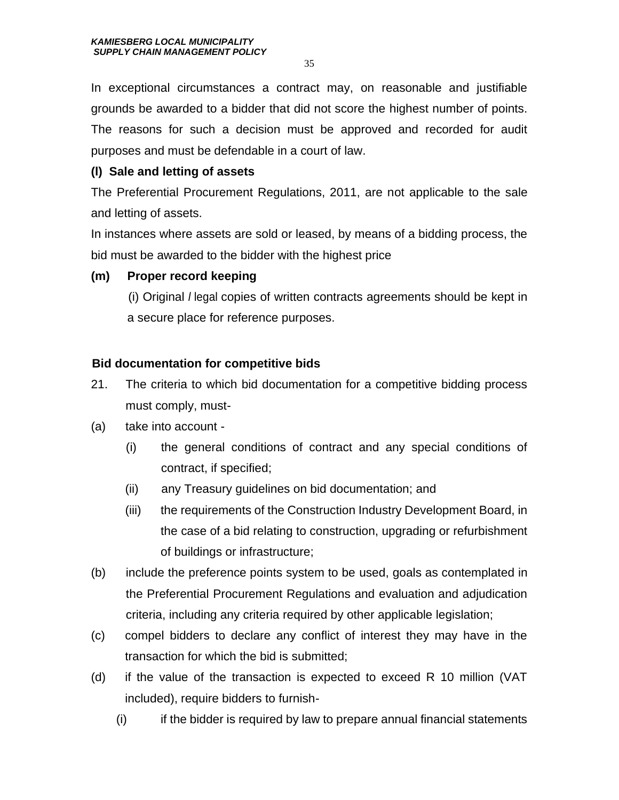In exceptional circumstances a contract may, on reasonable and justifiable grounds be awarded to a bidder that did not score the highest number of points. The reasons for such a decision must be approved and recorded for audit purposes and must be defendable in a court of law.

# **(l) Sale and letting of assets**

The Preferential Procurement Regulations, 2011, are not applicable to the sale and letting of assets.

In instances where assets are sold or leased, by means of a bidding process, the bid must be awarded to the bidder with the highest price

# **(m) Proper record keeping**

 (i) Original *l* legal copies of written contracts agreements should be kept in a secure place for reference purposes.

# **Bid documentation for competitive bids**

- 21. The criteria to which bid documentation for a competitive bidding process must comply, must-
- (a) take into account
	- (i) the general conditions of contract and any special conditions of contract, if specified;
	- (ii) any Treasury guidelines on bid documentation; and
	- (iii) the requirements of the Construction Industry Development Board, in the case of a bid relating to construction, upgrading or refurbishment of buildings or infrastructure;
- (b) include the preference points system to be used, goals as contemplated in the Preferential Procurement Regulations and evaluation and adjudication criteria, including any criteria required by other applicable legislation;
- (c) compel bidders to declare any conflict of interest they may have in the transaction for which the bid is submitted;
- (d) if the value of the transaction is expected to exceed R 10 million (VAT included), require bidders to furnish-
	- (i) if the bidder is required by law to prepare annual financial statements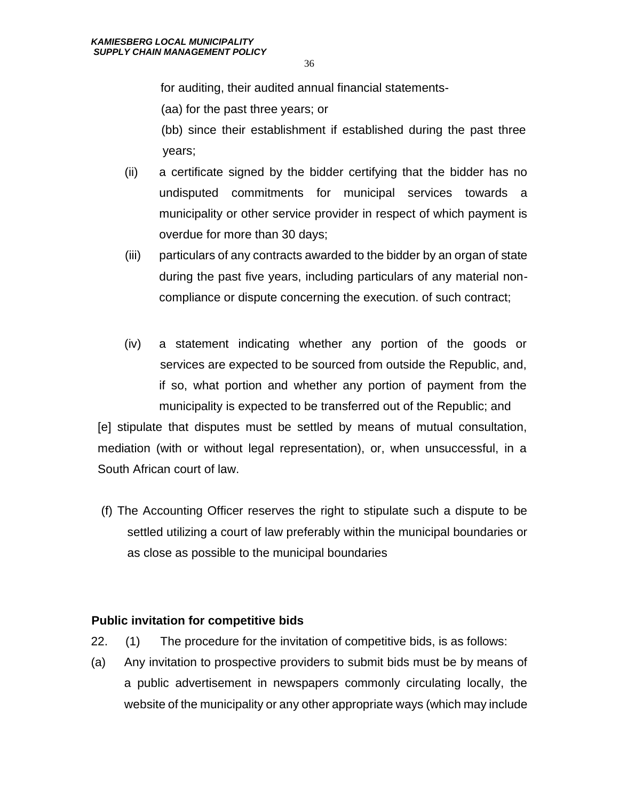for auditing, their audited annual financial statements-

(aa) for the past three years; or

(bb) since their establishment if established during the past three years;

- (ii) a certificate signed by the bidder certifying that the bidder has no undisputed commitments for municipal services towards a municipality or other service provider in respect of which payment is overdue for more than 30 days;
- (iii) particulars of any contracts awarded to the bidder by an organ of state during the past five years, including particulars of any material noncompliance or dispute concerning the execution. of such contract;
- (iv) a statement indicating whether any portion of the goods or services are expected to be sourced from outside the Republic, and, if so, what portion and whether any portion of payment from the municipality is expected to be transferred out of the Republic; and

[e] stipulate that disputes must be settled by means of mutual consultation, mediation (with or without legal representation), or, when unsuccessful, in a South African court of law.

(f) The Accounting Officer reserves the right to stipulate such a dispute to be settled utilizing a court of law preferably within the municipal boundaries or as close as possible to the municipal boundaries

#### **Public invitation for competitive bids**

- 22. (1) The procedure for the invitation of competitive bids, is as follows:
- (a) Any invitation to prospective providers to submit bids must be by means of a public advertisement in newspapers commonly circulating locally, the website of the municipality or any other appropriate ways (which may include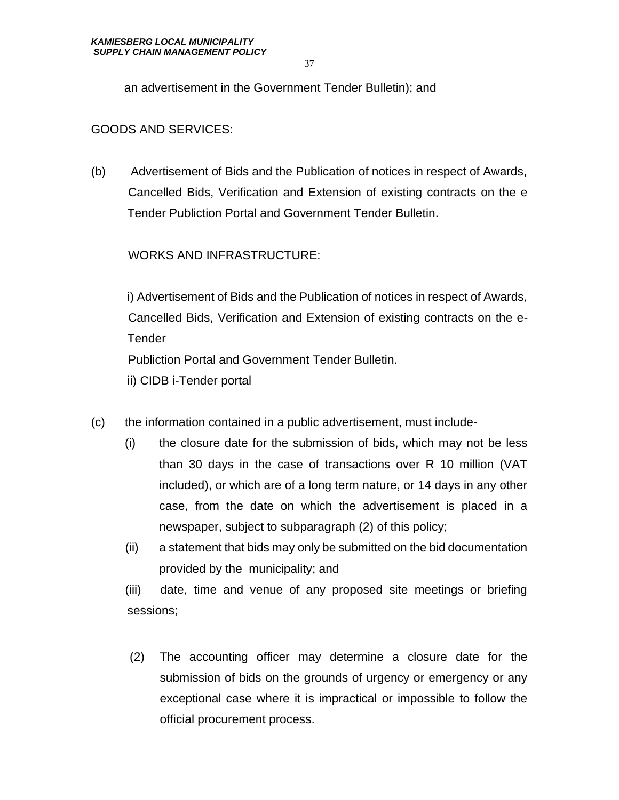an advertisement in the Government Tender Bulletin); and

#### GOODS AND SERVICES:

(b) Advertisement of Bids and the Publication of notices in respect of Awards, Cancelled Bids, Verification and Extension of existing contracts on the e Tender Publiction Portal and Government Tender Bulletin.

#### WORKS AND INFRASTRUCTURE:

i) Advertisement of Bids and the Publication of notices in respect of Awards, Cancelled Bids, Verification and Extension of existing contracts on the e-Tender Publiction Portal and Government Tender Bulletin. ii) CIDB i-Tender portal

- (c) the information contained in a public advertisement, must include-
	- (i) the closure date for the submission of bids, which may not be less than 30 days in the case of transactions over R 10 million (VAT included), or which are of a long term nature, or 14 days in any other case, from the date on which the advertisement is placed in a newspaper, subject to subparagraph (2) of this policy;
	- (ii) a statement that bids may only be submitted on the bid documentation provided by the municipality; and

(iii) date, time and venue of any proposed site meetings or briefing sessions;

(2) The accounting officer may determine a closure date for the submission of bids on the grounds of urgency or emergency or any exceptional case where it is impractical or impossible to follow the official procurement process.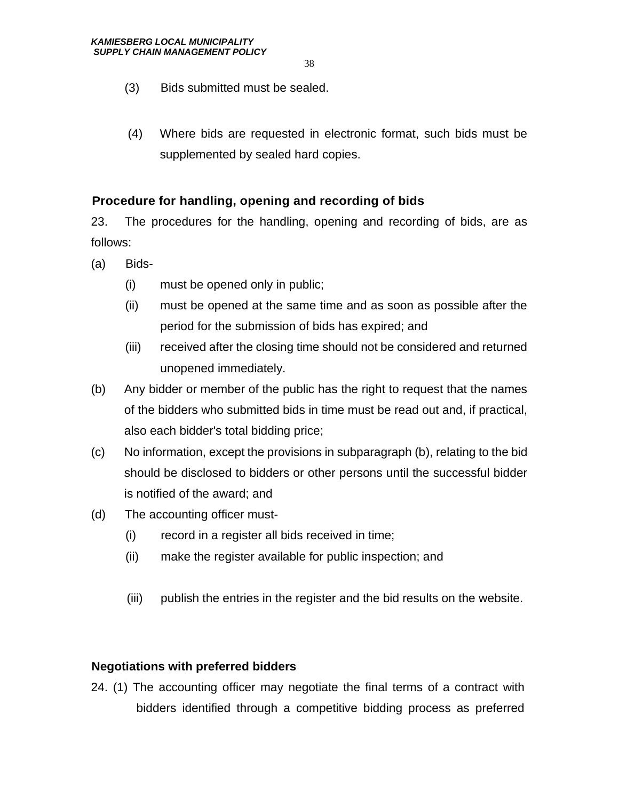- (3) Bids submitted must be sealed.
- (4) Where bids are requested in electronic format, such bids must be supplemented by sealed hard copies.

#### **Procedure for handling, opening and recording of bids**

23. The procedures for the handling, opening and recording of bids, are as follows:

- (a) Bids-
	- (i) must be opened only in public;
	- (ii) must be opened at the same time and as soon as possible after the period for the submission of bids has expired; and
	- (iii) received after the closing time should not be considered and returned unopened immediately.
- (b) Any bidder or member of the public has the right to request that the names of the bidders who submitted bids in time must be read out and, if practical, also each bidder's total bidding price;
- (c) No information, except the provisions in subparagraph (b), relating to the bid should be disclosed to bidders or other persons until the successful bidder is notified of the award; and
- (d) The accounting officer must-
	- (i) record in a register all bids received in time;
	- (ii) make the register available for public inspection; and
	- (iii) publish the entries in the register and the bid results on the website.

# **Negotiations with preferred bidders**

24. (1) The accounting officer may negotiate the final terms of a contract with bidders identified through a competitive bidding process as preferred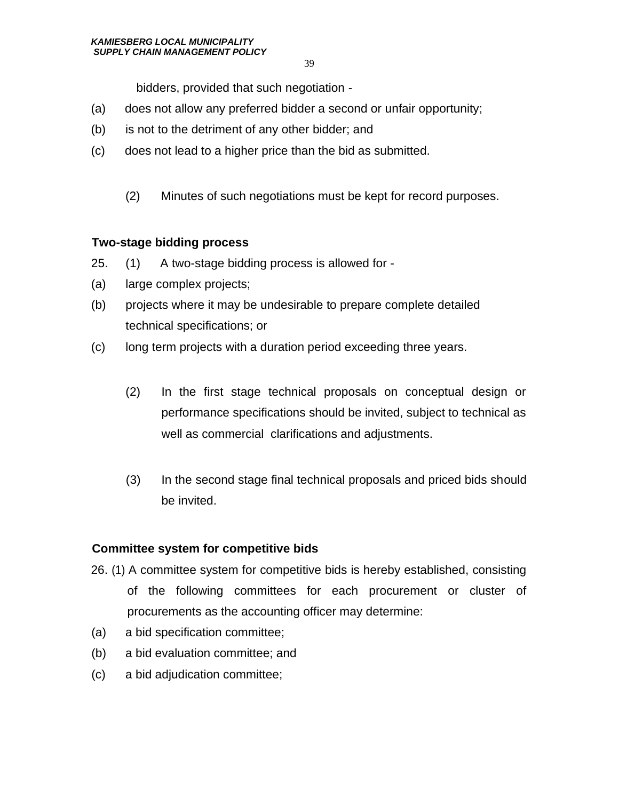bidders, provided that such negotiation -

- (a) does not allow any preferred bidder a second or unfair opportunity;
- (b) is not to the detriment of any other bidder; and
- (c) does not lead to a higher price than the bid as submitted.
	- (2) Minutes of such negotiations must be kept for record purposes.

#### **Two-stage bidding process**

- 25. (1) A two-stage bidding process is allowed for -
- (a) large complex projects;
- (b) projects where it may be undesirable to prepare complete detailed technical specifications; or
- (c) long term projects with a duration period exceeding three years.
	- (2) In the first stage technical proposals on conceptual design or performance specifications should be invited, subject to technical as well as commercial clarifications and adjustments.
	- (3) In the second stage final technical proposals and priced bids should be invited.

# **Committee system for competitive bids**

- 26. (1) A committee system for competitive bids is hereby established, consisting of the following committees for each procurement or cluster of procurements as the accounting officer may determine:
- (a) a bid specification committee;
- (b) a bid evaluation committee; and
- (c) a bid adjudication committee;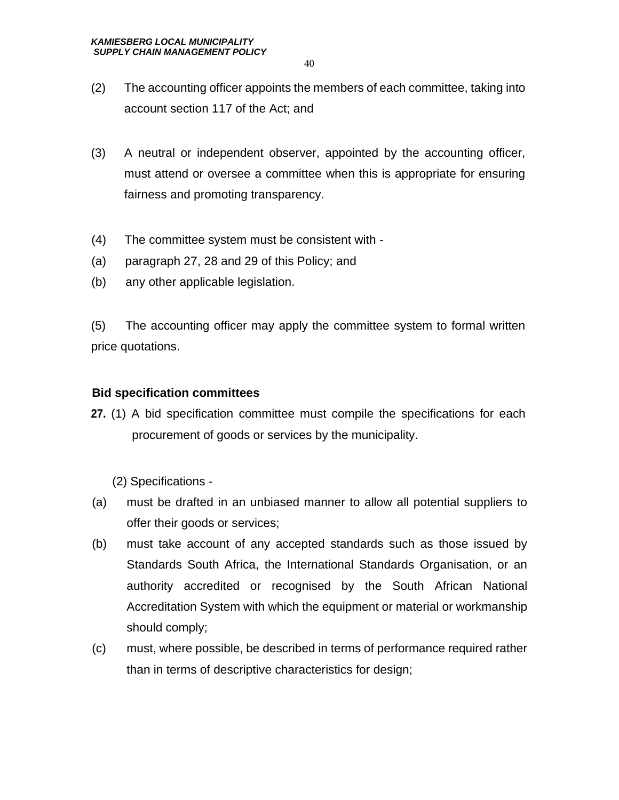- (2) The accounting officer appoints the members of each committee, taking into account section 117 of the Act; and
- (3) A neutral or independent observer, appointed by the accounting officer, must attend or oversee a committee when this is appropriate for ensuring fairness and promoting transparency.
- (4) The committee system must be consistent with -
- (a) paragraph 27, 28 and 29 of this Policy; and
- (b) any other applicable legislation.

(5) The accounting officer may apply the committee system to formal written price quotations.

#### **Bid specification committees**

**27.** (1) A bid specification committee must compile the specifications for each procurement of goods or services by the municipality.

(2) Specifications -

- (a) must be drafted in an unbiased manner to allow all potential suppliers to offer their goods or services;
- (b) must take account of any accepted standards such as those issued by Standards South Africa, the International Standards Organisation, or an authority accredited or recognised by the South African National Accreditation System with which the equipment or material or workmanship should comply;
- (c) must, where possible, be described in terms of performance required rather than in terms of descriptive characteristics for design;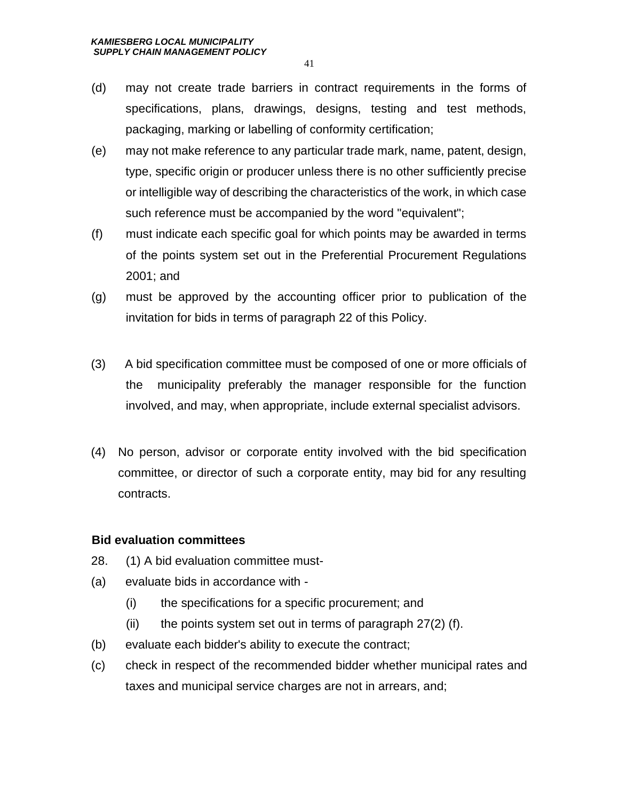- (d) may not create trade barriers in contract requirements in the forms of specifications, plans, drawings, designs, testing and test methods, packaging, marking or labelling of conformity certification;
- (e) may not make reference to any particular trade mark, name, patent, design, type, specific origin or producer unless there is no other sufficiently precise or intelligible way of describing the characteristics of the work, in which case such reference must be accompanied by the word "equivalent";
- (f) must indicate each specific goal for which points may be awarded in terms of the points system set out in the Preferential Procurement Regulations 2001; and
- (g) must be approved by the accounting officer prior to publication of the invitation for bids in terms of paragraph 22 of this Policy.
- (3) A bid specification committee must be composed of one or more officials of the municipality preferably the manager responsible for the function involved, and may, when appropriate, include external specialist advisors.
- (4) No person, advisor or corporate entity involved with the bid specification committee, or director of such a corporate entity, may bid for any resulting contracts.

#### **Bid evaluation committees**

- 28. (1) A bid evaluation committee must-
- (a) evaluate bids in accordance with
	- (i) the specifications for a specific procurement; and
	- (ii) the points system set out in terms of paragraph  $27(2)$  (f).
- (b) evaluate each bidder's ability to execute the contract;
- (c) check in respect of the recommended bidder whether municipal rates and taxes and municipal service charges are not in arrears, and;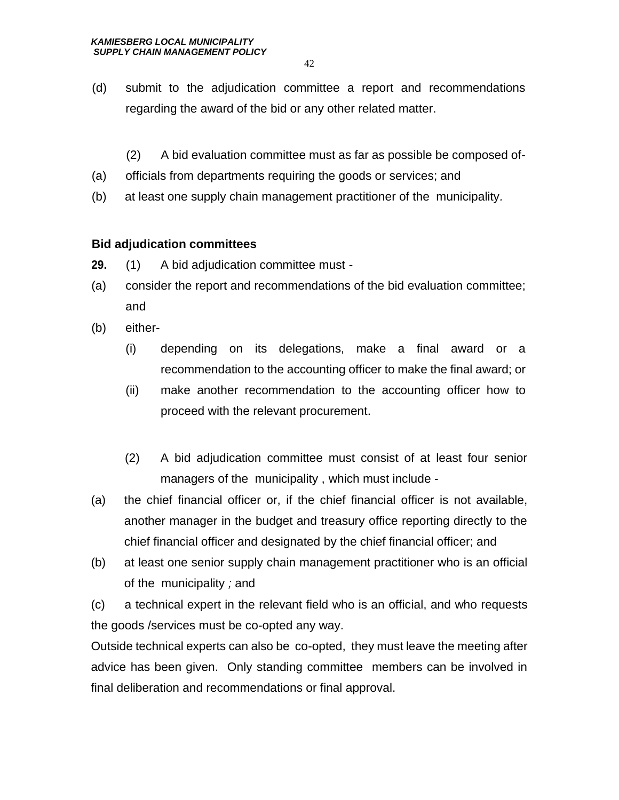- (d) submit to the adjudication committee a report and recommendations regarding the award of the bid or any other related matter.
	- (2) A bid evaluation committee must as far as possible be composed of-
- (a) officials from departments requiring the goods or services; and
- (b) at least one supply chain management practitioner of the municipality*.*

#### **Bid adjudication committees**

- **29.** (1) A bid adjudication committee must -
- (a) consider the report and recommendations of the bid evaluation committee; and
- (b) either-
	- (i) depending on its delegations, make a final award or a recommendation to the accounting officer to make the final award; or
	- (ii) make another recommendation to the accounting officer how to proceed with the relevant procurement.
	- (2) A bid adjudication committee must consist of at least four senior managers of the municipality , which must include -
- (a) the chief financial officer or, if the chief financial officer is not available, another manager in the budget and treasury office reporting directly to the chief financial officer and designated by the chief financial officer; and
- (b) at least one senior supply chain management practitioner who is an official of the municipality *;* and

(c) a technical expert in the relevant field who is an official, and who requests the goods /services must be co-opted any way.

Outside technical experts can also be co-opted, they must leave the meeting after advice has been given. Only standing committee members can be involved in final deliberation and recommendations or final approval.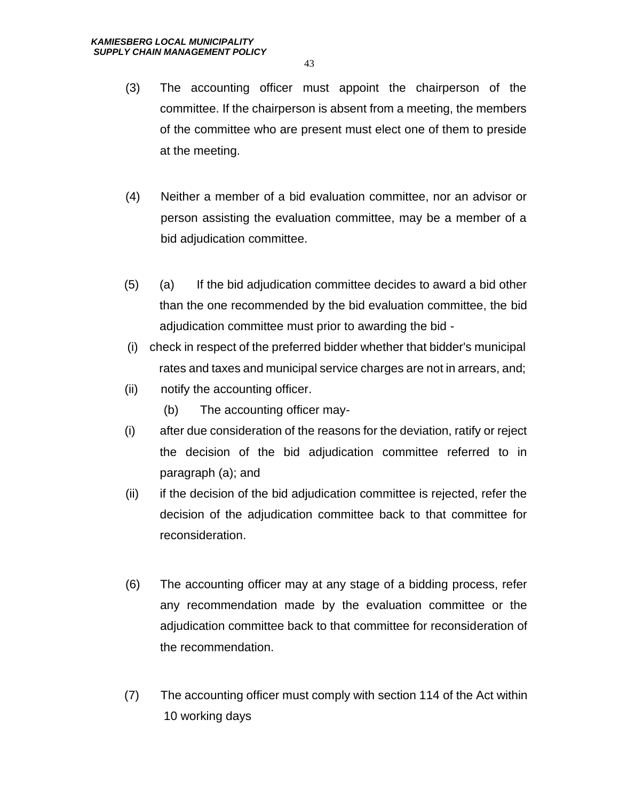- (3) The accounting officer must appoint the chairperson of the committee. If the chairperson is absent from a meeting, the members of the committee who are present must elect one of them to preside at the meeting.
- (4) Neither a member of a bid evaluation committee, nor an advisor or person assisting the evaluation committee, may be a member of a bid adjudication committee.
- (5) (a) If the bid adjudication committee decides to award a bid other than the one recommended by the bid evaluation committee, the bid adjudication committee must prior to awarding the bid -
- (i) check in respect of the preferred bidder whether that bidder's municipal rates and taxes and municipal service charges are not in arrears, and;
- (ii) notify the accounting officer.
	- (b) The accounting officer may-
- (i) after due consideration of the reasons for the deviation, ratify or reject the decision of the bid adjudication committee referred to in paragraph (a); and
- (ii) if the decision of the bid adjudication committee is rejected, refer the decision of the adjudication committee back to that committee for reconsideration.
- (6) The accounting officer may at any stage of a bidding process, refer any recommendation made by the evaluation committee or the adjudication committee back to that committee for reconsideration of the recommendation.
- (7) The accounting officer must comply with section 114 of the Act within 10 working days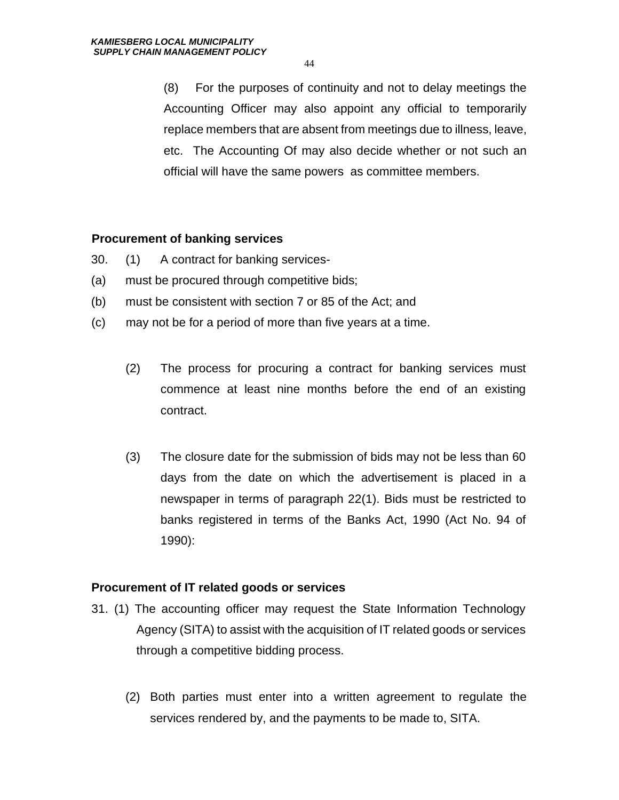(8) For the purposes of continuity and not to delay meetings the Accounting Officer may also appoint any official to temporarily replace members that are absent from meetings due to illness, leave, etc. The Accounting Of may also decide whether or not such an official will have the same powers as committee members.

#### **Procurement of banking services**

- 30. (1) A contract for banking services-
- (a) must be procured through competitive bids;
- (b) must be consistent with section 7 or 85 of the Act; and
- (c) may not be for a period of more than five years at a time.
	- (2) The process for procuring a contract for banking services must commence at least nine months before the end of an existing contract.
	- (3) The closure date for the submission of bids may not be less than 60 days from the date on which the advertisement is placed in a newspaper in terms of paragraph 22(1). Bids must be restricted to banks registered in terms of the Banks Act, 1990 (Act No. 94 of 1990):

#### **Procurement of IT related goods or services**

- 31. (1) The accounting officer may request the State Information Technology Agency (SITA) to assist with the acquisition of IT related goods or services through a competitive bidding process.
	- (2) Both parties must enter into a written agreement to regulate the services rendered by, and the payments to be made to, SITA.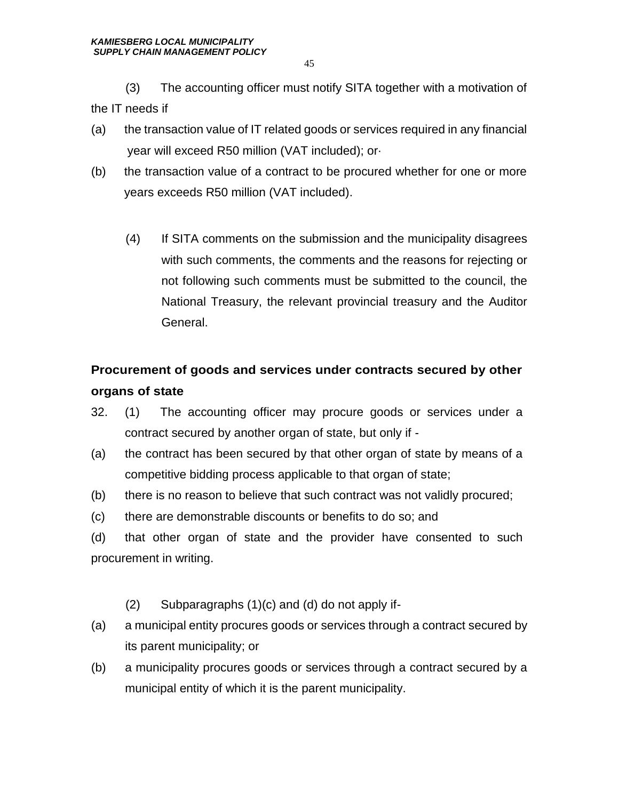(3) The accounting officer must notify SITA together with a motivation of the IT needs if

- (a) the transaction value of IT related goods or services required in any financial year will exceed R50 million (VAT included); or·
- (b) the transaction value of a contract to be procured whether for one or more years exceeds R50 million (VAT included).
	- (4) If SITA comments on the submission and the municipality disagrees with such comments, the comments and the reasons for rejecting or not following such comments must be submitted to the council, the National Treasury, the relevant provincial treasury and the Auditor General.

# **Procurement of goods and services under contracts secured by other organs of state**

- 32. (1) The accounting officer may procure goods or services under a contract secured by another organ of state, but only if -
- (a) the contract has been secured by that other organ of state by means of a competitive bidding process applicable to that organ of state;
- (b) there is no reason to believe that such contract was not validly procured;
- (c) there are demonstrable discounts or benefits to do so; and
- (d) that other organ of state and the provider have consented to such procurement in writing.
	- (2) Subparagraphs (1)(c) and (d) do not apply if-
- (a) a municipal entity procures goods or services through a contract secured by its parent municipality; or
- (b) a municipality procures goods or services through a contract secured by a municipal entity of which it is the parent municipality.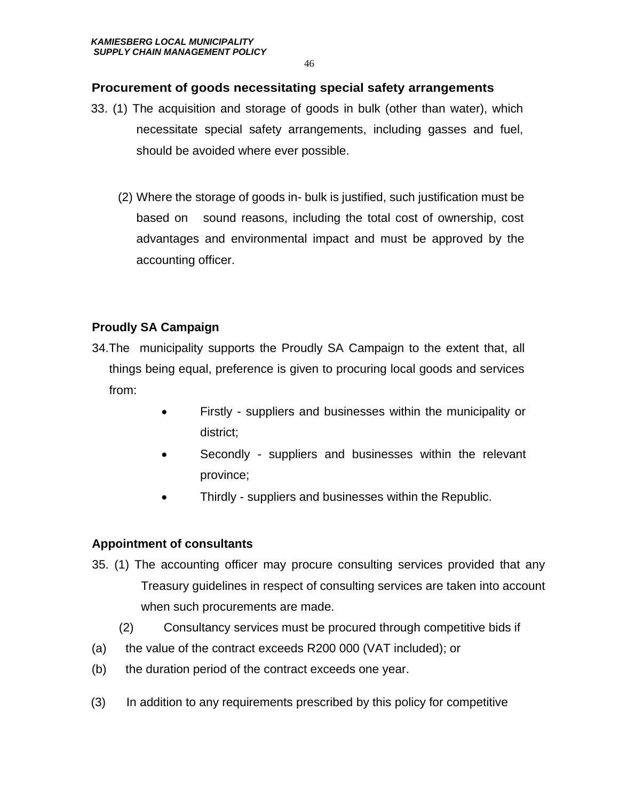#### **Procurement of goods necessitating special safety arrangements**

- 33. (1) The acquisition and storage of goods in bulk (other than water), which necessitate special safety arrangements, including gasses and fuel, should be avoided where ever possible.
	- (2) Where the storage of goods in- bulk is justified, such justification must be based on sound reasons, including the total cost of ownership, cost advantages and environmental impact and must be approved by the accounting officer.

# **Proudly SA Campaign**

- 34.The municipality supports the Proudly SA Campaign to the extent that, all things being equal, preference is given to procuring local goods and services from:
	- Firstly suppliers and businesses within the municipality or district;
	- Secondly suppliers and businesses within the relevant province;
	- Thirdly suppliers and businesses within the Republic.

# **Appointment of consultants**

- 35. (1) The accounting officer may procure consulting services provided that any Treasury guidelines in respect of consulting services are taken into account when such procurements are made.
	- (2) Consultancy services must be procured through competitive bids if
- (a) the value of the contract exceeds R200 000 (VAT included); or
- (b) the duration period of the contract exceeds one year.
- (3) In addition to any requirements prescribed by this policy for competitive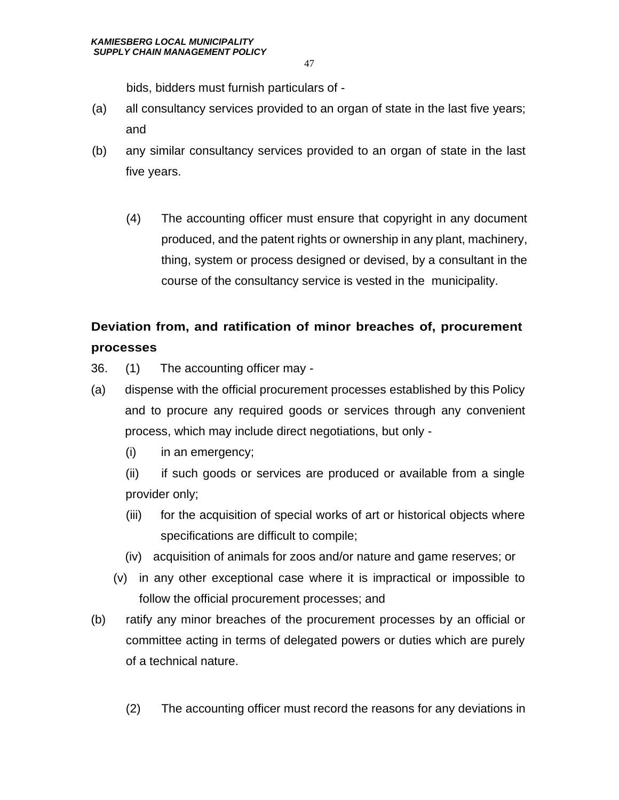bids, bidders must furnish particulars of -

- (a) all consultancy services provided to an organ of state in the last five years; and
- (b) any similar consultancy services provided to an organ of state in the last five years.
	- (4) The accounting officer must ensure that copyright in any document produced, and the patent rights or ownership in any plant, machinery, thing, system or process designed or devised, by a consultant in the course of the consultancy service is vested in the municipality.

# **Deviation from, and ratification of minor breaches of, procurement processes**

- 36. (1) The accounting officer may -
- (a) dispense with the official procurement processes established by this Policy and to procure any required goods or services through any convenient process, which may include direct negotiations, but only -
	- (i) in an emergency;

(ii) if such goods or services are produced or available from a single provider only;

- (iii) for the acquisition of special works of art or historical objects where specifications are difficult to compile;
- (iv) acquisition of animals for zoos and/or nature and game reserves; or
- (v) in any other exceptional case where it is impractical or impossible to follow the official procurement processes; and
- (b) ratify any minor breaches of the procurement processes by an official or committee acting in terms of delegated powers or duties which are purely of a technical nature.
	- (2) The accounting officer must record the reasons for any deviations in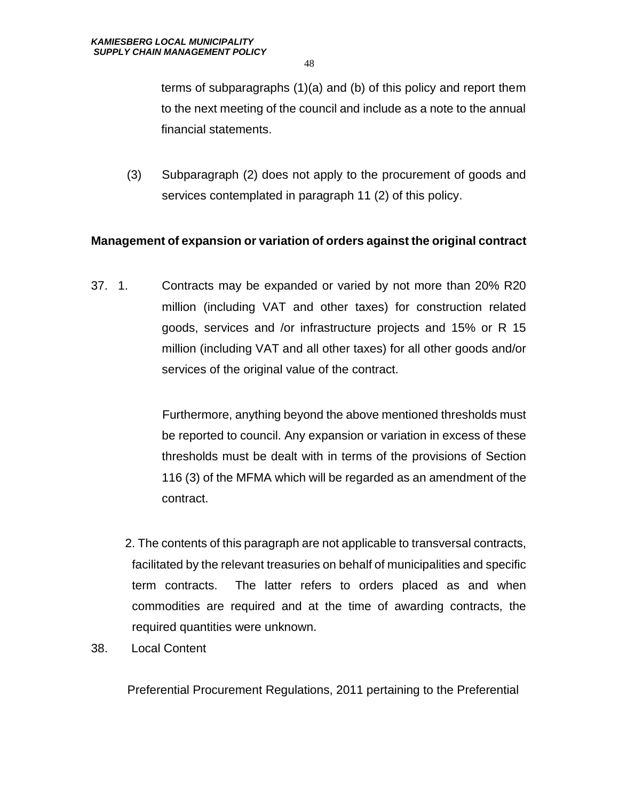terms of subparagraphs (1)(a) and (b) of this policy and report them to the next meeting of the council and include as a note to the annual financial statements.

(3) Subparagraph (2) does not apply to the procurement of goods and services contemplated in paragraph 11 (2) of this policy.

#### **Management of expansion or variation of orders against the original contract**

37. 1. Contracts may be expanded or varied by not more than 20% R20 million (including VAT and other taxes) for construction related goods, services and /or infrastructure projects and 15% or R 15 million (including VAT and all other taxes) for all other goods and/or services of the original value of the contract.

> Furthermore, anything beyond the above mentioned thresholds must be reported to council. Any expansion or variation in excess of these thresholds must be dealt with in terms of the provisions of Section 116 (3) of the MFMA which will be regarded as an amendment of the contract.

- 2. The contents of this paragraph are not applicable to transversal contracts, facilitated by the relevant treasuries on behalf of municipalities and specific term contracts. The latter refers to orders placed as and when commodities are required and at the time of awarding contracts, the required quantities were unknown.
- 38. Local Content

Preferential Procurement Regulations, 2011 pertaining to the Preferential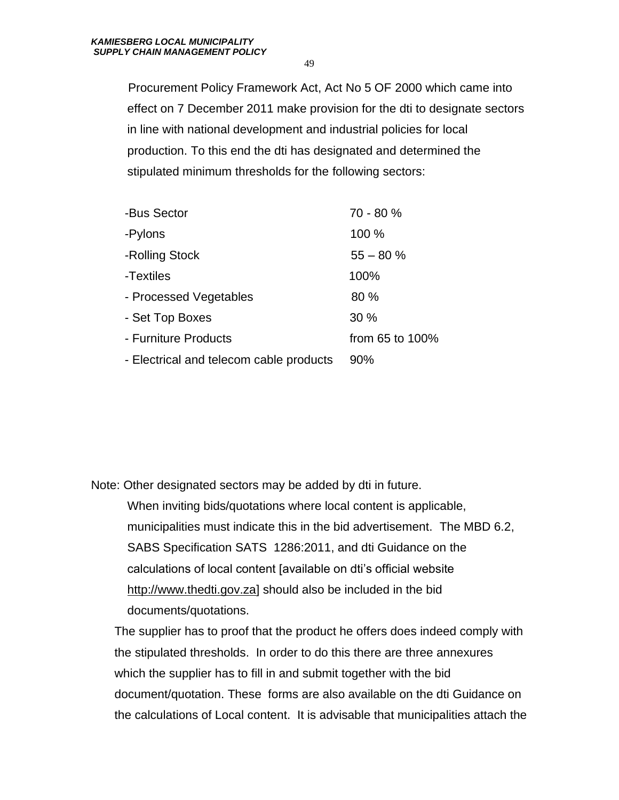Procurement Policy Framework Act, Act No 5 OF 2000 which came into effect on 7 December 2011 make provision for the dti to designate sectors in line with national development and industrial policies for local production. To this end the dti has designated and determined the stipulated minimum thresholds for the following sectors:

| -Bus Sector                             | 70 - 80 %       |
|-----------------------------------------|-----------------|
| -Pylons                                 | 100 %           |
| -Rolling Stock                          | $55 - 80%$      |
| -Textiles                               | 100%            |
| - Processed Vegetables                  | 80%             |
| - Set Top Boxes                         | 30%             |
| - Furniture Products                    | from 65 to 100% |
| - Electrical and telecom cable products | 90%             |
|                                         |                 |

Note: Other designated sectors may be added by dti in future. When inviting bids/quotations where local content is applicable, municipalities must indicate this in the bid advertisement. The MBD 6.2, SABS Specification SATS 1286:2011, and dti Guidance on the calculations of local content [available on dti's official website [http://www.thedti.gov.za\]](http://www.thedti.gov.za/) should also be included in the bid documents/quotations.

The supplier has to proof that the product he offers does indeed comply with the stipulated thresholds. In order to do this there are three annexures which the supplier has to fill in and submit together with the bid document/quotation. These forms are also available on the dti Guidance on the calculations of Local content. It is advisable that municipalities attach the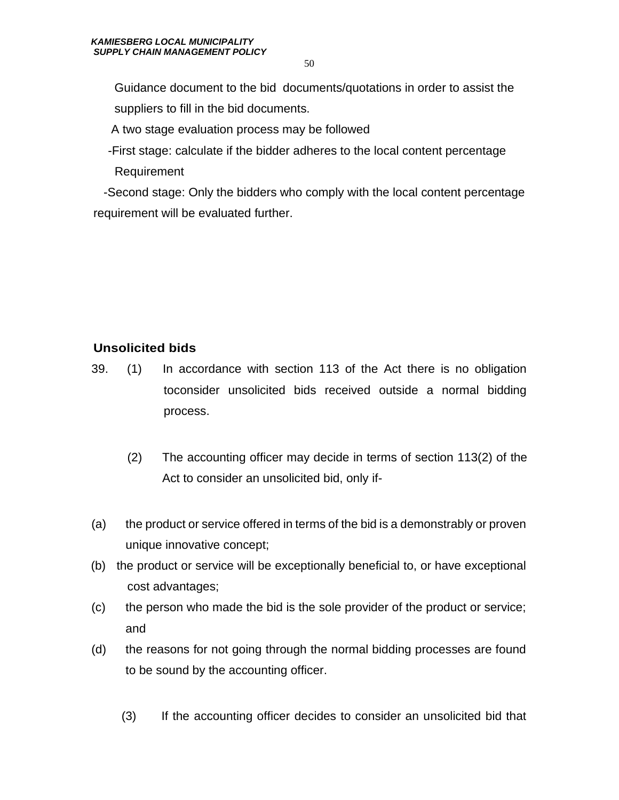Guidance document to the bid documents/quotations in order to assist the suppliers to fill in the bid documents.

A two stage evaluation process may be followed

 -First stage: calculate if the bidder adheres to the local content percentage Requirement

 -Second stage: Only the bidders who comply with the local content percentage requirement will be evaluated further.

# **Unsolicited bids**

- 39. (1) In accordance with section 113 of the Act there is no obligation toconsider unsolicited bids received outside a normal bidding process.
	- (2) The accounting officer may decide in terms of section 113(2) of the Act to consider an unsolicited bid, only if-
- (a) the product or service offered in terms of the bid is a demonstrably or proven unique innovative concept;
- (b) the product or service will be exceptionally beneficial to, or have exceptional cost advantages;
- (c) the person who made the bid is the sole provider of the product or service; and
- (d) the reasons for not going through the normal bidding processes are found to be sound by the accounting officer.
	- (3) If the accounting officer decides to consider an unsolicited bid that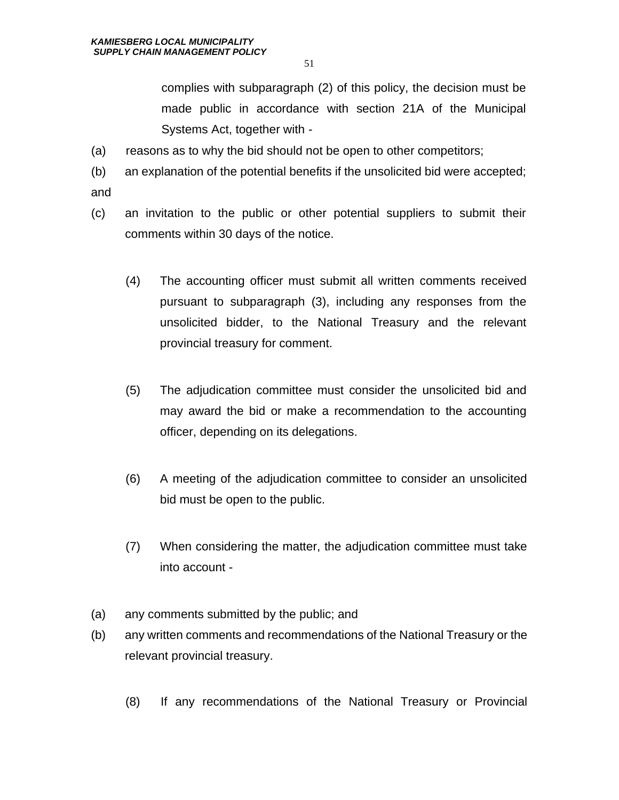complies with subparagraph (2) of this policy, the decision must be made public in accordance with section 21A of the Municipal Systems Act, together with -

- (a) reasons as to why the bid should not be open to other competitors;
- (b) an explanation of the potential benefits if the unsolicited bid were accepted; and
- (c) an invitation to the public or other potential suppliers to submit their comments within 30 days of the notice.
	- (4) The accounting officer must submit all written comments received pursuant to subparagraph (3), including any responses from the unsolicited bidder, to the National Treasury and the relevant provincial treasury for comment.
	- (5) The adjudication committee must consider the unsolicited bid and may award the bid or make a recommendation to the accounting officer, depending on its delegations.
	- (6) A meeting of the adjudication committee to consider an unsolicited bid must be open to the public.
	- (7) When considering the matter, the adjudication committee must take into account -
- (a) any comments submitted by the public; and
- (b) any written comments and recommendations of the National Treasury or the relevant provincial treasury.
	- (8) If any recommendations of the National Treasury or Provincial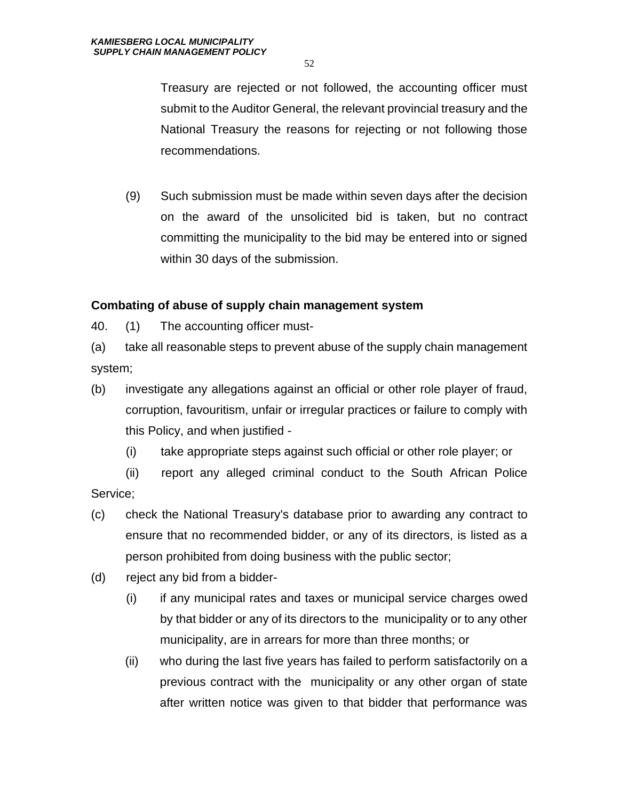Treasury are rejected or not followed, the accounting officer must submit to the Auditor General, the relevant provincial treasury and the National Treasury the reasons for rejecting or not following those recommendations.

(9) Such submission must be made within seven days after the decision on the award of the unsolicited bid is taken, but no contract committing the municipality to the bid may be entered into or signed within 30 days of the submission.

#### **Combating of abuse of supply chain management system**

40. (1) The accounting officer must-

(a) take all reasonable steps to prevent abuse of the supply chain management system;

- (b) investigate any allegations against an official or other role player of fraud, corruption, favouritism, unfair or irregular practices or failure to comply with this Policy, and when justified -
	- (i) take appropriate steps against such official or other role player; or

(ii) report any alleged criminal conduct to the South African Police Service;

- (c) check the National Treasury's database prior to awarding any contract to ensure that no recommended bidder, or any of its directors, is listed as a person prohibited from doing business with the public sector;
- (d) reject any bid from a bidder-
	- (i) if any municipal rates and taxes or municipal service charges owed by that bidder or any of its directors to the municipality or to any other municipality, are in arrears for more than three months; or
	- (ii) who during the last five years has failed to perform satisfactorily on a previous contract with the municipality or any other organ of state after written notice was given to that bidder that performance was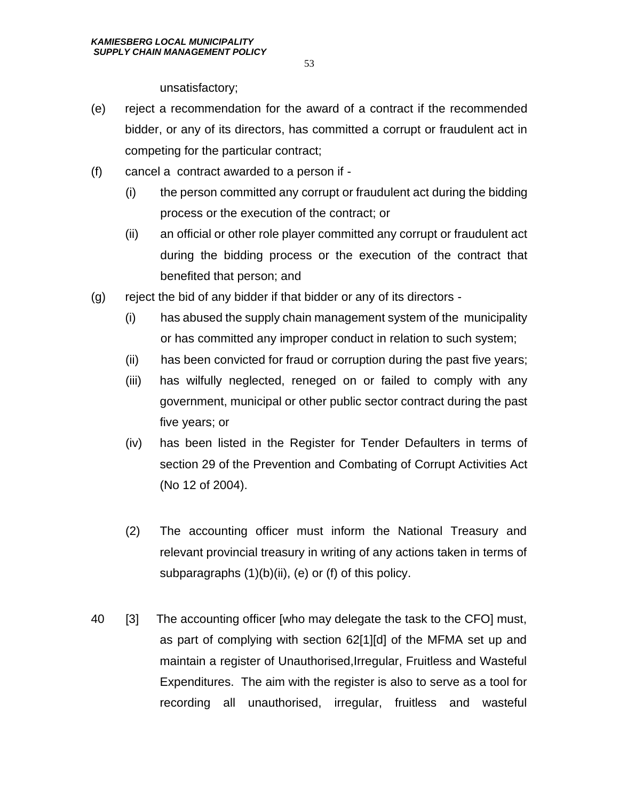unsatisfactory;

- (e) reject a recommendation for the award of a contract if the recommended bidder, or any of its directors, has committed a corrupt or fraudulent act in competing for the particular contract;
- (f) cancel a contract awarded to a person if
	- (i) the person committed any corrupt or fraudulent act during the bidding process or the execution of the contract; or
	- (ii) an official or other role player committed any corrupt or fraudulent act during the bidding process or the execution of the contract that benefited that person; and
- (g) reject the bid of any bidder if that bidder or any of its directors
	- (i) has abused the supply chain management system of the municipality or has committed any improper conduct in relation to such system;
	- (ii) has been convicted for fraud or corruption during the past five years;
	- (iii) has wilfully neglected, reneged on or failed to comply with any government, municipal or other public sector contract during the past five years; or
	- (iv) has been listed in the Register for Tender Defaulters in terms of section 29 of the Prevention and Combating of Corrupt Activities Act (No 12 of 2004).
	- (2) The accounting officer must inform the National Treasury and relevant provincial treasury in writing of any actions taken in terms of subparagraphs (1)(b)(ii), (e) or (f) of this policy.
- 40 [3] The accounting officer [who may delegate the task to the CFO] must, as part of complying with section 62[1][d] of the MFMA set up and maintain a register of Unauthorised,Irregular, Fruitless and Wasteful Expenditures. The aim with the register is also to serve as a tool for recording all unauthorised, irregular, fruitless and wasteful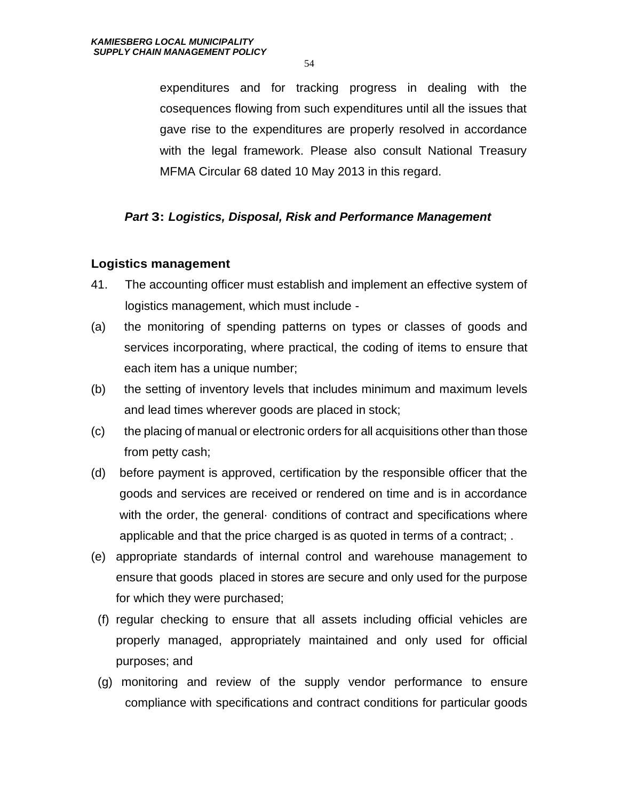expenditures and for tracking progress in dealing with the cosequences flowing from such expenditures until all the issues that gave rise to the expenditures are properly resolved in accordance with the legal framework. Please also consult National Treasury MFMA Circular 68 dated 10 May 2013 in this regard.

#### *Part* **3:** *Logistics, Disposal, Risk and Performance Management*

#### **Logistics management**

- 41. The accounting officer must establish and implement an effective system of logistics management, which must include -
- (a) the monitoring of spending patterns on types or classes of goods and services incorporating, where practical, the coding of items to ensure that each item has a unique number;
- (b) the setting of inventory levels that includes minimum and maximum levels and lead times wherever goods are placed in stock;
- (c) the placing of manual or electronic orders for all acquisitions other than those from petty cash;
- (d) before payment is approved, certification by the responsible officer that the goods and services are received or rendered on time and is in accordance with the order, the general· conditions of contract and specifications where applicable and that the price charged is as quoted in terms of a contract; .
- (e) appropriate standards of internal control and warehouse management to ensure that goods placed in stores are secure and only used for the purpose for which they were purchased;
- (f) regular checking to ensure that all assets including official vehicles are properly managed, appropriately maintained and only used for official purposes; and
- (g) monitoring and review of the supply vendor performance to ensure compliance with specifications and contract conditions for particular goods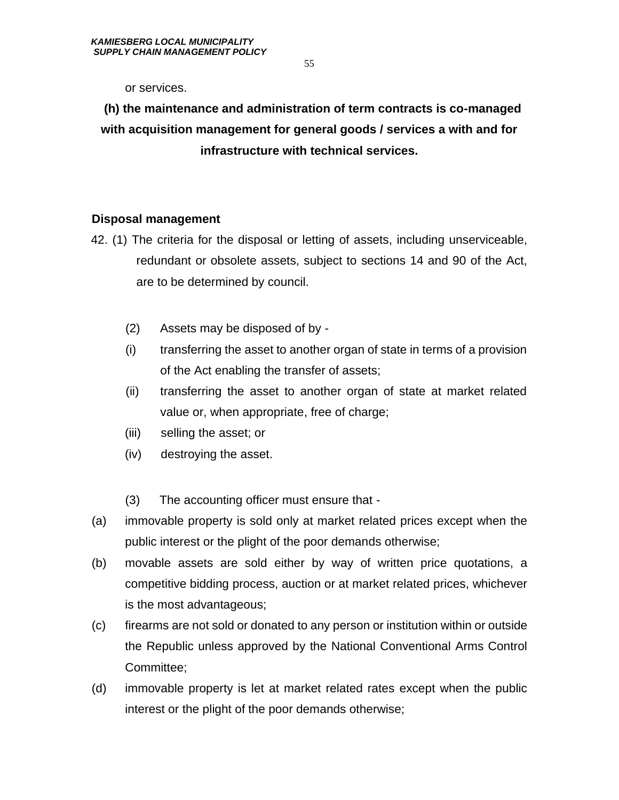or services.

# **(h) the maintenance and administration of term contracts is co-managed with acquisition management for general goods / services a with and for infrastructure with technical services.**

#### **Disposal management**

- 42. (1) The criteria for the disposal or letting of assets, including unserviceable, redundant or obsolete assets, subject to sections 14 and 90 of the Act, are to be determined by council.
	- (2) Assets may be disposed of by -
	- (i) transferring the asset to another organ of state in terms of a provision of the Act enabling the transfer of assets;
	- (ii) transferring the asset to another organ of state at market related value or, when appropriate, free of charge;
	- (iii) selling the asset; or
	- (iv) destroying the asset.
	- (3) The accounting officer must ensure that -
- (a) immovable property is sold only at market related prices except when the public interest or the plight of the poor demands otherwise;
- (b) movable assets are sold either by way of written price quotations, a competitive bidding process, auction or at market related prices, whichever is the most advantageous;
- (c) firearms are not sold or donated to any person or institution within or outside the Republic unless approved by the National Conventional Arms Control Committee;
- (d) immovable property is let at market related rates except when the public interest or the plight of the poor demands otherwise;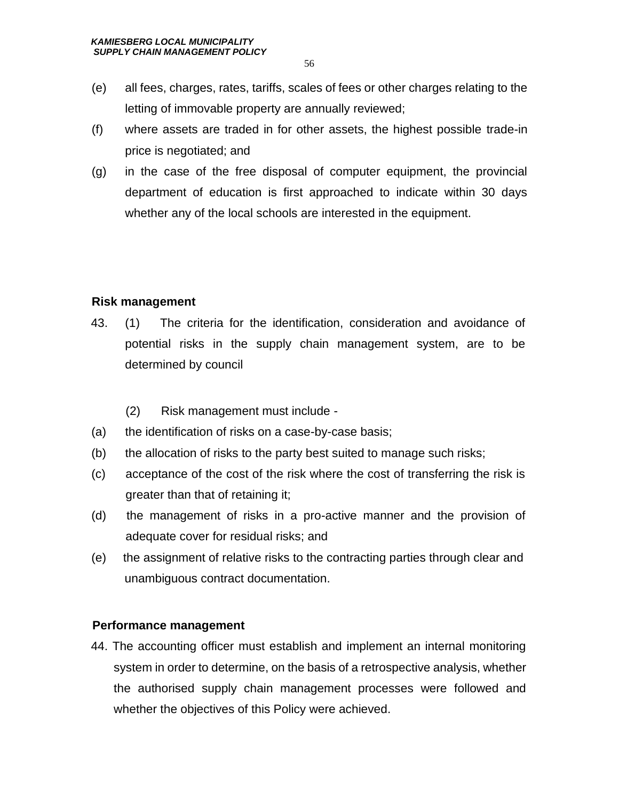- (e) all fees, charges, rates, tariffs, scales of fees or other charges relating to the letting of immovable property are annually reviewed;
- (f) where assets are traded in for other assets, the highest possible trade-in price is negotiated; and
- (g) in the case of the free disposal of computer equipment, the provincial department of education is first approached to indicate within 30 days whether any of the local schools are interested in the equipment.

#### **Risk management**

- 43. (1) The criteria for the identification, consideration and avoidance of potential risks in the supply chain management system, are to be determined by council
	- (2) Risk management must include -
- (a) the identification of risks on a case-by-case basis;
- (b) the allocation of risks to the party best suited to manage such risks;
- (c) acceptance of the cost of the risk where the cost of transferring the risk is greater than that of retaining it;
- (d) the management of risks in a pro-active manner and the provision of adequate cover for residual risks; and
- (e) the assignment of relative risks to the contracting parties through clear and unambiguous contract documentation.

#### **Performance management**

44. The accounting officer must establish and implement an internal monitoring system in order to determine, on the basis of a retrospective analysis, whether the authorised supply chain management processes were followed and whether the objectives of this Policy were achieved.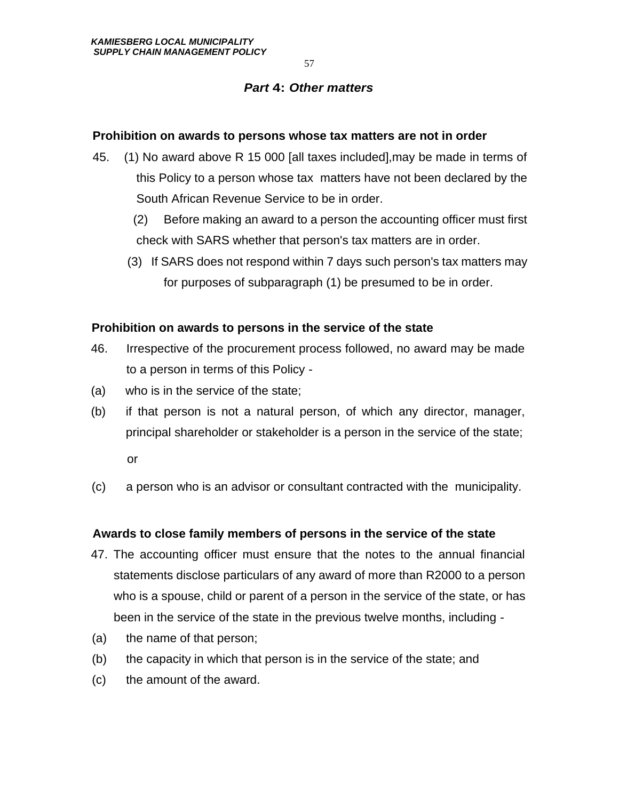#### *Part* **4:** *Other matters*

#### **Prohibition on awards to persons whose tax matters are not in order**

- 45. (1) No award above R 15 000 [all taxes included],may be made in terms of this Policy to a person whose tax matters have not been declared by the South African Revenue Service to be in order.
	- (2) Before making an award to a person the accounting officer must first check with SARS whether that person's tax matters are in order.
	- (3) If SARS does not respond within 7 days such person's tax matters may for purposes of subparagraph (1) be presumed to be in order.

#### **Prohibition on awards to persons in the service of the state**

- 46. Irrespective of the procurement process followed, no award may be made to a person in terms of this Policy -
- (a) who is in the service of the state;
- (b) if that person is not a natural person, of which any director, manager, principal shareholder or stakeholder is a person in the service of the state;

or

(c) a person who is an advisor or consultant contracted with the municipality*.* 

# **Awards to close family members of persons in the service of the state**

- 47. The accounting officer must ensure that the notes to the annual financial statements disclose particulars of any award of more than R2000 to a person who is a spouse, child or parent of a person in the service of the state, or has been in the service of the state in the previous twelve months, including -
- (a) the name of that person;
- (b) the capacity in which that person is in the service of the state; and
- (c) the amount of the award.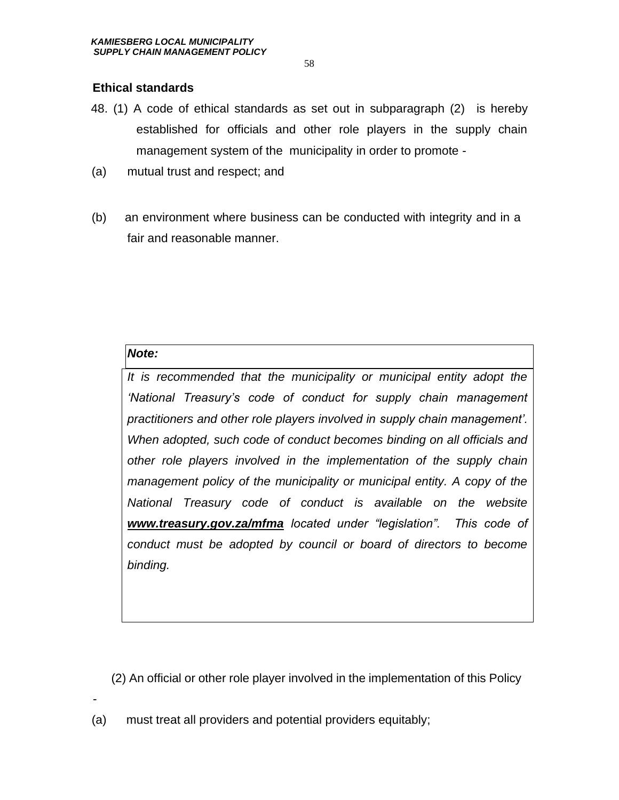#### **Ethical standards**

- 48. (1) A code of ethical standards as set out in subparagraph (2) is hereby established for officials and other role players in the supply chain management system of the municipality in order to promote -
- (a) mutual trust and respect; and
- (b) an environment where business can be conducted with integrity and in a fair and reasonable manner.

#### *Note:*

*It is recommended that the municipality or municipal entity adopt the 'National Treasury's code of conduct for supply chain management practitioners and other role players involved in supply chain management'. When adopted, such code of conduct becomes binding on all officials and other role players involved in the implementation of the supply chain management policy of the municipality or municipal entity. A copy of the National Treasury code of conduct is available on the website [www.treasury.gov.za/mfma](http://www.treasury.gov.za/mfma) located under "legislation". This code of conduct must be adopted by council or board of directors to become binding.*

(2) An official or other role player involved in the implementation of this Policy

(a) must treat all providers and potential providers equitably;

-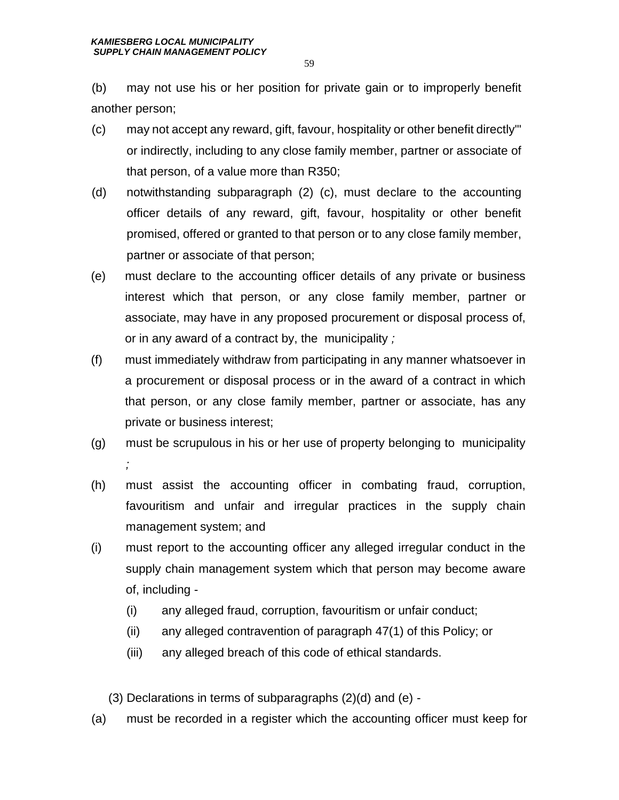(b) may not use his or her position for private gain or to improperly benefit another person;

- (c) may not accept any reward, gift, favour, hospitality or other benefit directly'" or indirectly, including to any close family member, partner or associate of that person, of a value more than R350;
- (d) notwithstanding subparagraph (2) (c), must declare to the accounting officer details of any reward, gift, favour, hospitality or other benefit promised, offered or granted to that person or to any close family member, partner or associate of that person;
- (e) must declare to the accounting officer details of any private or business interest which that person, or any close family member, partner or associate, may have in any proposed procurement or disposal process of, or in any award of a contract by, the municipality *;*
- (f) must immediately withdraw from participating in any manner whatsoever in a procurement or disposal process or in the award of a contract in which that person, or any close family member, partner or associate, has any private or business interest;
- (g) must be scrupulous in his or her use of property belonging to municipality *;*
- (h) must assist the accounting officer in combating fraud, corruption, favouritism and unfair and irregular practices in the supply chain management system; and
- (i) must report to the accounting officer any alleged irregular conduct in the supply chain management system which that person may become aware of, including -
	- (i) any alleged fraud, corruption, favouritism or unfair conduct;
	- (ii) any alleged contravention of paragraph 47(1) of this Policy; or
	- (iii) any alleged breach of this code of ethical standards.
	- (3) Declarations in terms of subparagraphs (2)(d) and (e) -
- (a) must be recorded in a register which the accounting officer must keep for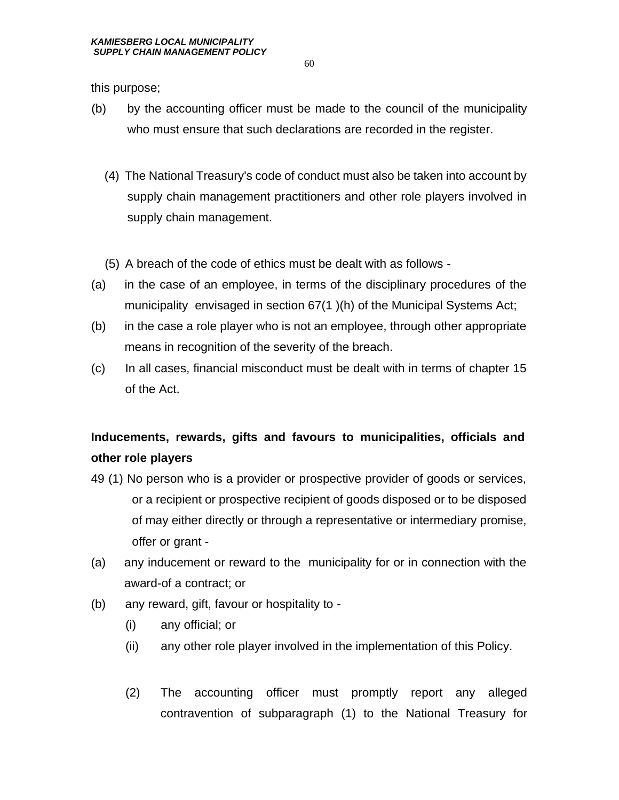this purpose;

- (b) by the accounting officer must be made to the council of the municipality who must ensure that such declarations are recorded in the register.
	- (4) The National Treasury's code of conduct must also be taken into account by supply chain management practitioners and other role players involved in supply chain management.
	- (5) A breach of the code of ethics must be dealt with as follows -
- (a) in the case of an employee, in terms of the disciplinary procedures of the municipality envisaged in section 67(1 )(h) of the Municipal Systems Act;
- (b) in the case a role player who is not an employee, through other appropriate means in recognition of the severity of the breach.
- (c) In all cases, financial misconduct must be dealt with in terms of chapter 15 of the Act.

# **Inducements, rewards, gifts and favours to municipalities, officials and other role players**

- 49 (1) No person who is a provider or prospective provider of goods or services, or a recipient or prospective recipient of goods disposed or to be disposed of may either directly or through a representative or intermediary promise, offer or grant -
- (a) any inducement or reward to the municipality for or in connection with the award-of a contract; or
- (b) any reward, gift, favour or hospitality to
	- (i) any official; or
	- (ii) any other role player involved in the implementation of this Policy.
	- (2) The accounting officer must promptly report any alleged contravention of subparagraph (1) to the National Treasury for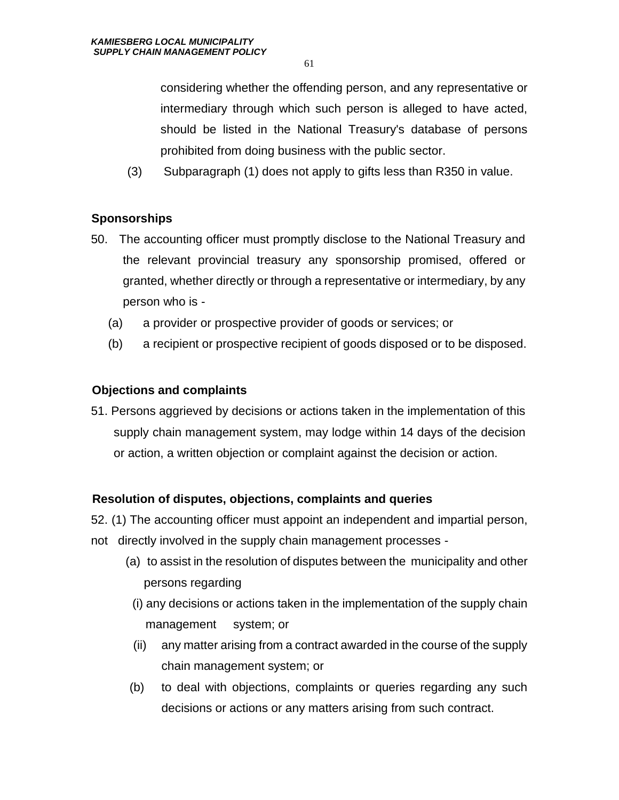considering whether the offending person, and any representative or intermediary through which such person is alleged to have acted, should be listed in the National Treasury's database of persons prohibited from doing business with the public sector.

(3) Subparagraph (1) does not apply to gifts less than R350 in value.

# **Sponsorships**

- 50. The accounting officer must promptly disclose to the National Treasury and the relevant provincial treasury any sponsorship promised, offered or granted, whether directly or through a representative or intermediary, by any person who is -
	- (a) a provider or prospective provider of goods or services; or
	- (b) a recipient or prospective recipient of goods disposed or to be disposed.

# **Objections and complaints**

51. Persons aggrieved by decisions or actions taken in the implementation of this supply chain management system, may lodge within 14 days of the decision or action, a written objection or complaint against the decision or action.

# **Resolution of disputes, objections, complaints and queries**

52. (1) The accounting officer must appoint an independent and impartial person, not directly involved in the supply chain management processes -

- (a) to assist in the resolution of disputes between the municipality and other persons regarding
- (i) any decisions or actions taken in the implementation of the supply chain management system; or
- (ii) any matter arising from a contract awarded in the course of the supply chain management system; or
- (b) to deal with objections, complaints or queries regarding any such decisions or actions or any matters arising from such contract.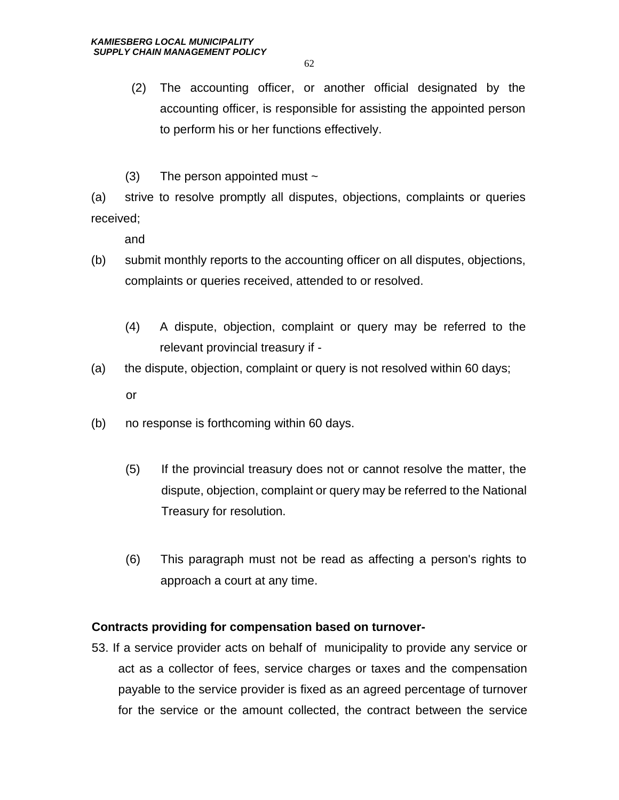- (2) The accounting officer, or another official designated by the accounting officer, is responsible for assisting the appointed person to perform his or her functions effectively.
- $(3)$  The person appointed must  $\sim$

(a) strive to resolve promptly all disputes, objections, complaints or queries received;

and

- (b) submit monthly reports to the accounting officer on all disputes, objections, complaints or queries received, attended to or resolved.
	- (4) A dispute, objection, complaint or query may be referred to the relevant provincial treasury if -
- (a) the dispute, objection, complaint or query is not resolved within 60 days; or
- (b) no response is forthcoming within 60 days.
	- (5) If the provincial treasury does not or cannot resolve the matter, the dispute, objection, complaint or query may be referred to the National Treasury for resolution.
	- (6) This paragraph must not be read as affecting a person's rights to approach a court at any time.

#### **Contracts providing for compensation based on turnover-**

53. If a service provider acts on behalf of municipality to provide any service or act as a collector of fees, service charges or taxes and the compensation payable to the service provider is fixed as an agreed percentage of turnover for the service or the amount collected, the contract between the service